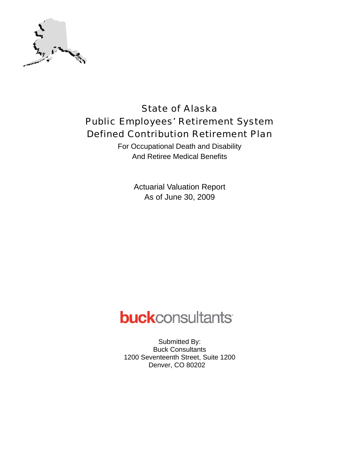

# State of Alaska Public Employees' Retirement System Defined Contribution Retirement Plan

For Occupational Death and Disability And Retiree Medical Benefits

> Actuarial Valuation Report As of June 30, 2009

# **buck**consultants

Submitted By: Buck Consultants 1200 Seventeenth Street, Suite 1200 Denver, CO 80202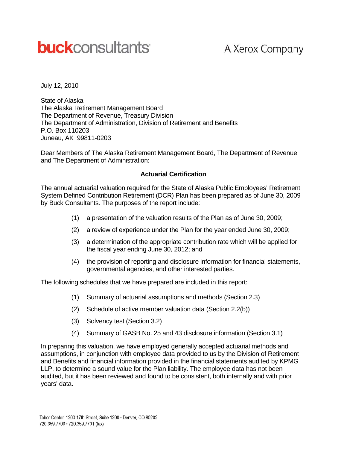# **buck**consultants

# A Xerox Company

July 12, 2010

State of Alaska The Alaska Retirement Management Board The Department of Revenue, Treasury Division The Department of Administration, Division of Retirement and Benefits P.O. Box 110203 Juneau, AK 99811-0203

Dear Members of The Alaska Retirement Management Board, The Department of Revenue and The Department of Administration:

#### **Actuarial Certification**

The annual actuarial valuation required for the State of Alaska Public Employees' Retirement System Defined Contribution Retirement (DCR) Plan has been prepared as of June 30, 2009 by Buck Consultants. The purposes of the report include:

- (1) a presentation of the valuation results of the Plan as of June 30, 2009;
- (2) a review of experience under the Plan for the year ended June 30, 2009;
- (3) a determination of the appropriate contribution rate which will be applied for the fiscal year ending June 30, 2012; and
- (4) the provision of reporting and disclosure information for financial statements, governmental agencies, and other interested parties.

The following schedules that we have prepared are included in this report:

- (1) Summary of actuarial assumptions and methods (Section 2.3)
- (2) Schedule of active member valuation data (Section 2.2(b))
- (3) Solvency test (Section 3.2)
- (4) Summary of GASB No. 25 and 43 disclosure information (Section 3.1)

In preparing this valuation, we have employed generally accepted actuarial methods and assumptions, in conjunction with employee data provided to us by the Division of Retirement and Benefits and financial information provided in the financial statements audited by KPMG LLP, to determine a sound value for the Plan liability. The employee data has not been audited, but it has been reviewed and found to be consistent, both internally and with prior years' data.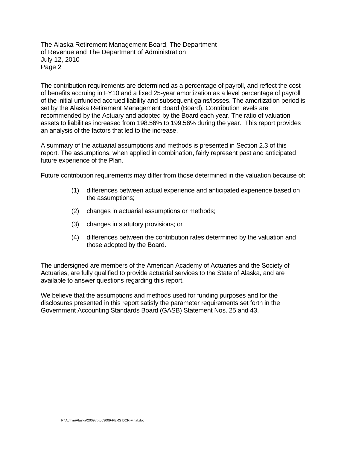The Alaska Retirement Management Board, The Department of Revenue and The Department of Administration July 12, 2010 Page 2

The contribution requirements are determined as a percentage of payroll, and reflect the cost of benefits accruing in FY10 and a fixed 25-year amortization as a level percentage of payroll of the initial unfunded accrued liability and subsequent gains/losses. The amortization period is set by the Alaska Retirement Management Board (Board). Contribution levels are recommended by the Actuary and adopted by the Board each year. The ratio of valuation assets to liabilities increased from 198.56% to 199.56% during the year. This report provides an analysis of the factors that led to the increase.

A summary of the actuarial assumptions and methods is presented in Section 2.3 of this report. The assumptions, when applied in combination, fairly represent past and anticipated future experience of the Plan.

Future contribution requirements may differ from those determined in the valuation because of:

- (1) differences between actual experience and anticipated experience based on the assumptions;
- (2) changes in actuarial assumptions or methods;
- (3) changes in statutory provisions; or
- (4) differences between the contribution rates determined by the valuation and those adopted by the Board.

The undersigned are members of the American Academy of Actuaries and the Society of Actuaries, are fully qualified to provide actuarial services to the State of Alaska, and are available to answer questions regarding this report.

We believe that the assumptions and methods used for funding purposes and for the disclosures presented in this report satisfy the parameter requirements set forth in the Government Accounting Standards Board (GASB) Statement Nos. 25 and 43.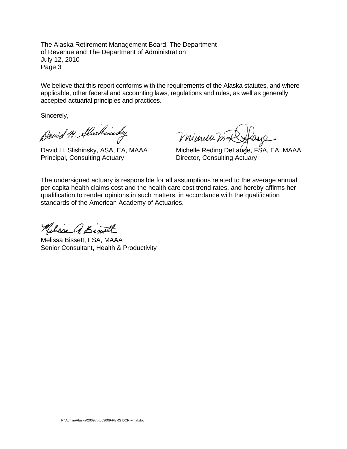The Alaska Retirement Management Board, The Department of Revenue and The Department of Administration July 12, 2010 Page 3

We believe that this report conforms with the requirements of the Alaska statutes, and where applicable, other federal and accounting laws, regulations and rules, as well as generally accepted actuarial principles and practices.

Sincerely,

David H. Alaskinsky

Principal, Consulting Actuary **Director, Consulting Actuary** 

minum mal

David H. Slishinsky, ASA, EA, MAAA Michelle Reding DeLange, FSA, EA, MAAA

The undersigned actuary is responsible for all assumptions related to the average annual per capita health claims cost and the health care cost trend rates, and hereby affirms her qualification to render opinions in such matters, in accordance with the qualification standards of the American Academy of Actuaries.

Neliss A. Bist

Melissa Bissett, FSA, MAAA Senior Consultant, Health & Productivity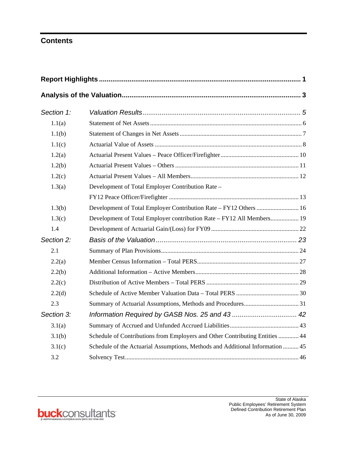## **Contents**

| Section 1: |                                                                               |
|------------|-------------------------------------------------------------------------------|
| 1.1(a)     |                                                                               |
| 1.1(b)     |                                                                               |
| 1.1(c)     |                                                                               |
| 1.2(a)     |                                                                               |
| 1.2(b)     |                                                                               |
| 1.2(c)     |                                                                               |
| 1.3(a)     | Development of Total Employer Contribution Rate –                             |
|            |                                                                               |
| 1.3(b)     | Development of Total Employer Contribution Rate - FY12 Others  16             |
| 1.3(c)     | Development of Total Employer contribution Rate – FY12 All Members 19         |
| 1.4        |                                                                               |
| Section 2: |                                                                               |
| 2.1        |                                                                               |
| 2.2(a)     |                                                                               |
| 2.2(b)     |                                                                               |
| 2.2(c)     |                                                                               |
| 2.2(d)     |                                                                               |
| 2.3        |                                                                               |
| Section 3: |                                                                               |
| 3.1(a)     |                                                                               |
| 3.1(b)     | Schedule of Contributions from Employers and Other Contributing Entities  44  |
| 3.1(c)     | Schedule of the Actuarial Assumptions, Methods and Additional Information  45 |
| 3.2        |                                                                               |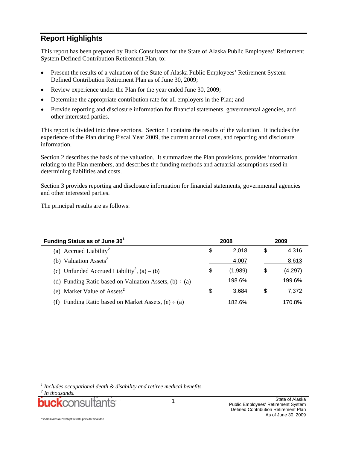## **Report Highlights**

This report has been prepared by Buck Consultants for the State of Alaska Public Employees' Retirement System Defined Contribution Retirement Plan, to:

- Present the results of a valuation of the State of Alaska Public Employees' Retirement System Defined Contribution Retirement Plan as of June 30, 2009;
- Review experience under the Plan for the year ended June 30, 2009;
- Determine the appropriate contribution rate for all employers in the Plan; and
- Provide reporting and disclosure information for financial statements, governmental agencies, and other interested parties.

This report is divided into three sections. Section 1 contains the results of the valuation. It includes the experience of the Plan during Fiscal Year 2009, the current annual costs, and reporting and disclosure information.

Section 2 describes the basis of the valuation. It summarizes the Plan provisions, provides information relating to the Plan members, and describes the funding methods and actuarial assumptions used in determining liabilities and costs.

Section 3 provides reporting and disclosure information for financial statements, governmental agencies and other interested parties.

The principal results are as follows:

| Funding Status as of June 30 <sup>1</sup>                   | 2008          |    | 2009    |
|-------------------------------------------------------------|---------------|----|---------|
| (a) Accrued Liability <sup>2</sup>                          | \$<br>2.018   | S  | 4.316   |
| (b) Valuation Assets <sup>2</sup>                           | 4,007         |    | 8,613   |
| (c) Unfunded Accrued Liability <sup>2</sup> , (a) – (b)     | \$<br>(1,989) | \$ | (4,297) |
| (d) Funding Ratio based on Valuation Assets, $(b) \div (a)$ | 198.6%        |    | 199.6%  |
| (e) Market Value of Assets <sup>2</sup>                     | \$<br>3.684   | \$ | 7,372   |
| Funding Ratio based on Market Assets, $(e) \div (a)$<br>(f) | 182.6%        |    | 170.8%  |

l

p:\admin\alaska\2009\rpt063009-pers dcr-final.doc

<sup>&</sup>lt;sup>1</sup> Includes occupational death & disability and retiree medical benefits.

*<sup>2</sup> In thousands.*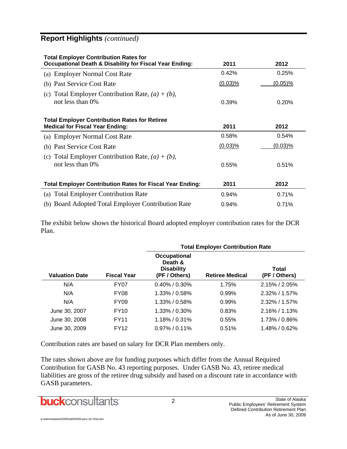## **Report Highlights** *(continued)*

| <b>Total Employer Contribution Rates for</b><br><b>Occupational Death &amp; Disability for Fiscal Year Ending:</b> | 2011       | 2012       |
|--------------------------------------------------------------------------------------------------------------------|------------|------------|
| (a) Employer Normal Cost Rate                                                                                      | 0.42%      | 0.25%      |
| (b) Past Service Cost Rate                                                                                         | $(0.03)$ % | $(0.05)\%$ |
| (c) Total Employer Contribution Rate, $(a) + (b)$ ,<br>not less than 0%                                            | 0.39%      | 0.20%      |
| <b>Total Employer Contribution Rates for Retiree</b><br><b>Medical for Fiscal Year Ending:</b>                     | 2011       | 2012       |
| (a) Employer Normal Cost Rate                                                                                      | 0.58%      | 0.54%      |
| (b) Past Service Cost Rate                                                                                         | (0.03)%    | $(0.03)\%$ |
| (c) Total Employer Contribution Rate, $(a) + (b)$ ,<br>not less than 0\%                                           | 0.55%      | 0.51%      |
| <b>Total Employer Contribution Rates for Fiscal Year Ending:</b>                                                   | 2011       | 2012       |
| (a) Total Employer Contribution Rate                                                                               | 0.94%      | 0.71%      |
| (b) Board Adopted Total Employer Contribution Rate                                                                 | 0.94%      | 0.71%      |

The exhibit below shows the historical Board adopted employer contribution rates for the DCR Plan.

|                       |                    | <b>Total Employer Contribution Rate</b>                       |                        |                        |  |  |  |  |
|-----------------------|--------------------|---------------------------------------------------------------|------------------------|------------------------|--|--|--|--|
| <b>Valuation Date</b> | <b>Fiscal Year</b> | Occupational<br>Death &<br><b>Disability</b><br>(PF / Others) | <b>Retiree Medical</b> | Total<br>(PF / Others) |  |  |  |  |
| N/A                   | FY <sub>0</sub> 7  | $0.40\%$ / $0.30\%$                                           | 1.75%                  | $2.15\%$ / $2.05\%$    |  |  |  |  |
| N/A                   | FY <sub>08</sub>   | $1.33\%$ / 0.58%                                              | 0.99%                  | $2.32\%$ / 1.57%       |  |  |  |  |
| N/A                   | FY <sub>09</sub>   | $1.33\%$ / 0.58%                                              | 0.99%                  | $2.32\%$ / 1.57%       |  |  |  |  |
| June 30, 2007         | <b>FY10</b>        | $1.33\%$ / 0.30%                                              | 0.83%                  | $2.16\%$ / 1.13%       |  |  |  |  |
| June 30, 2008         | <b>FY11</b>        | $1.18\%$ / 0.31%                                              | 0.55%                  | 1.73% / 0.86%          |  |  |  |  |
| June 30, 2009         | <b>FY12</b>        | $0.97\%$ / 0.11%                                              | 0.51%                  | 1.48% / 0.62%          |  |  |  |  |

Contribution rates are based on salary for DCR Plan members only.

The rates shown above are for funding purposes which differ from the Annual Required Contribution for GASB No. 43 reporting purposes. Under GASB No. 43, retiree medical liabilities are gross of the retiree drug subsidy and based on a discount rate in accordance with GASB parameters.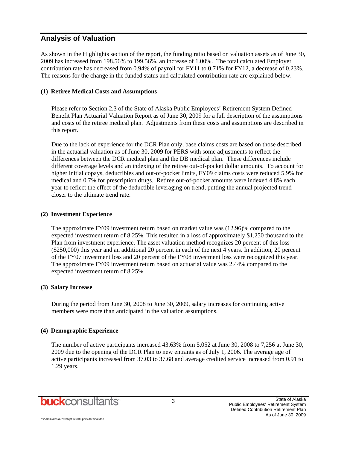#### **Analysis of Valuation**

As shown in the Highlights section of the report, the funding ratio based on valuation assets as of June 30, 2009 has increased from 198.56% to 199.56%, an increase of 1.00%. The total calculated Employer contribution rate has decreased from 0.94% of payroll for FY11 to 0.71% for FY12, a decrease of 0.23%. The reasons for the change in the funded status and calculated contribution rate are explained below.

#### **(1) Retiree Medical Costs and Assumptions**

Please refer to Section 2.3 of the State of Alaska Public Employees' Retirement System Defined Benefit Plan Actuarial Valuation Report as of June 30, 2009 for a full description of the assumptions and costs of the retiree medical plan. Adjustments from these costs and assumptions are described in this report.

Due to the lack of experience for the DCR Plan only, base claims costs are based on those described in the actuarial valuation as of June 30, 2009 for PERS with some adjustments to reflect the differences between the DCR medical plan and the DB medical plan. These differences include different coverage levels and an indexing of the retiree out-of-pocket dollar amounts. To account for higher initial copays, deductibles and out-of-pocket limits, FY09 claims costs were reduced 5.9% for medical and 0.7% for prescription drugs. Retiree out-of-pocket amounts were indexed 4.8% each year to reflect the effect of the deductible leveraging on trend, putting the annual projected trend closer to the ultimate trend rate.

#### **(2) Investment Experience**

The approximate FY09 investment return based on market value was (12.96)% compared to the expected investment return of 8.25%. This resulted in a loss of approximately \$1,250 thousand to the Plan from investment experience. The asset valuation method recognizes 20 percent of this loss (\$250,000) this year and an additional 20 percent in each of the next 4 years. In addition, 20 percent of the FY07 investment loss and 20 percent of the FY08 investment loss were recognized this year. The approximate FY09 investment return based on actuarial value was 2.44% compared to the expected investment return of 8.25%.

#### **(3) Salary Increase**

During the period from June 30, 2008 to June 30, 2009, salary increases for continuing active members were more than anticipated in the valuation assumptions.

#### **(4) Demographic Experience**

The number of active participants increased 43.63% from 5,052 at June 30, 2008 to 7,256 at June 30, 2009 due to the opening of the DCR Plan to new entrants as of July 1, 2006. The average age of active participants increased from 37.03 to 37.68 and average credited service increased from 0.91 to 1.29 years.

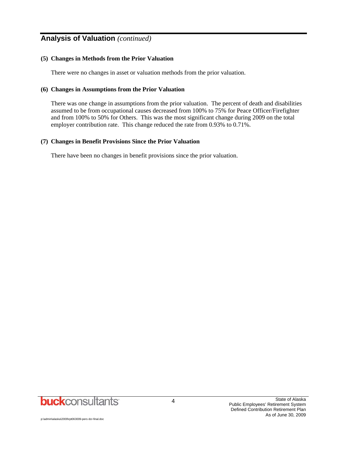## **Analysis of Valuation** *(continued)*

#### **(5) Changes in Methods from the Prior Valuation**

There were no changes in asset or valuation methods from the prior valuation.

#### **(6) Changes in Assumptions from the Prior Valuation**

There was one change in assumptions from the prior valuation. The percent of death and disabilities assumed to be from occupational causes decreased from 100% to 75% for Peace Officer/Firefighter and from 100% to 50% for Others. This was the most significant change during 2009 on the total employer contribution rate. This change reduced the rate from 0.93% to 0.71%.

#### **(7) Changes in Benefit Provisions Since the Prior Valuation**

There have been no changes in benefit provisions since the prior valuation.

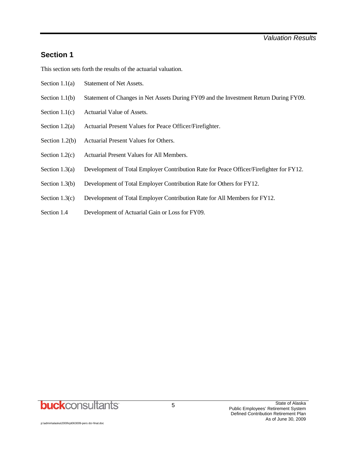#### **Section 1**

This section sets forth the results of the actuarial valuation.

- Section 1.1(a) Statement of Net Assets.
- Section 1.1(b) Statement of Changes in Net Assets During FY09 and the Investment Return During FY09.
- Section 1.1(c) Actuarial Value of Assets.
- Section 1.2(a) Actuarial Present Values for Peace Officer/Firefighter.
- Section 1.2(b) Actuarial Present Values for Others.
- Section 1.2(c) Actuarial Present Values for All Members.
- Section 1.3(a) Development of Total Employer Contribution Rate for Peace Officer/Firefighter for FY12.
- Section 1.3(b) Development of Total Employer Contribution Rate for Others for FY12.
- Section 1.3(c) Development of Total Employer Contribution Rate for All Members for FY12.
- Section 1.4 Development of Actuarial Gain or Loss for FY09.

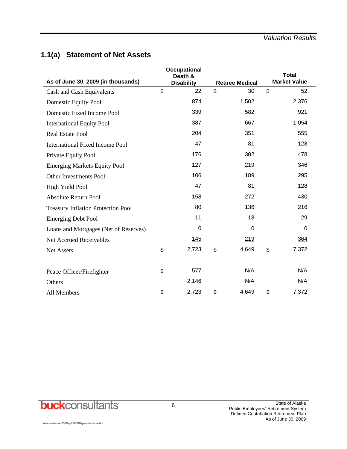## **1.1(a) Statement of Net Assets**

| As of June 30, 2009 (in thousands)        | <b>Occupational</b><br>Death &<br><b>Disability</b> | <b>Retiree Medical</b> |                | <b>Total</b><br><b>Market Value</b> |
|-------------------------------------------|-----------------------------------------------------|------------------------|----------------|-------------------------------------|
| Cash and Cash Equivalents                 | \$<br>22                                            | \$<br>30               | $\mathfrak{L}$ | 52                                  |
| Domestic Equity Pool                      | 874                                                 | 1,502                  |                | 2,376                               |
| Domestic Fixed Income Pool                | 339                                                 | 582                    |                | 921                                 |
| <b>International Equity Pool</b>          | 387                                                 | 667                    |                | 1,054                               |
| <b>Real Estate Pool</b>                   | 204                                                 | 351                    |                | 555                                 |
| <b>International Fixed Income Pool</b>    | 47                                                  | 81                     |                | 128                                 |
| Private Equity Pool                       | 176                                                 | 302                    |                | 478                                 |
| <b>Emerging Markets Equity Pool</b>       | 127                                                 | 219                    |                | 346                                 |
| Other Investments Pool                    | 106                                                 | 189                    |                | 295                                 |
| High Yield Pool                           | 47                                                  | 81                     |                | 128                                 |
| Absolute Return Pool                      | 158                                                 | 272                    |                | 430                                 |
| <b>Treasury Inflation Protection Pool</b> | 80                                                  | 136                    |                | 216                                 |
| <b>Emerging Debt Pool</b>                 | 11                                                  | 18                     |                | 29                                  |
| Loans and Mortgages (Net of Reserves)     | $\Omega$                                            | $\Omega$               |                | 0                                   |
| <b>Net Accrued Receivables</b>            | 145                                                 | 219                    |                | 364                                 |
| <b>Net Assets</b>                         | \$<br>2,723                                         | \$<br>4,649            | \$             | 7,372                               |
|                                           |                                                     |                        |                |                                     |
| Peace Officer/Firefighter                 | \$<br>577                                           | N/A                    |                | N/A                                 |
| Others                                    | 2,146                                               | N/A                    |                | N/A                                 |
| All Members                               | \$<br>2,723                                         | \$<br>4,649            | \$             | 7,372                               |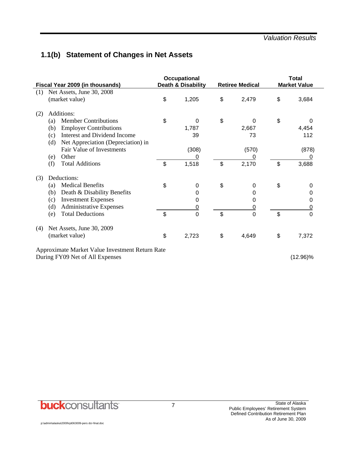## **1.1(b) Statement of Changes in Net Assets**

| Fiscal Year 2009 (in thousands)                 | Occupational<br><b>Death &amp; Disability</b> |                | <b>Retiree Medical</b> | <b>Total</b><br><b>Market Value</b> |
|-------------------------------------------------|-----------------------------------------------|----------------|------------------------|-------------------------------------|
| Net Assets, June 30, 2008<br>(1)                |                                               |                |                        |                                     |
| (market value)                                  | \$<br>1,205                                   | \$             | 2,479                  | \$<br>3,684                         |
| Additions:<br>(2)                               |                                               |                |                        |                                     |
| <b>Member Contributions</b><br>(a)              | \$<br>0                                       | \$             | 0                      | \$<br>$\Omega$                      |
| <b>Employer Contributions</b><br>(b)            | 1,787                                         |                | 2,667                  | 4,454                               |
| Interest and Dividend Income<br>(c)             | 39                                            |                | 73                     | 112                                 |
| Net Appreciation (Depreciation) in<br>(d)       |                                               |                |                        |                                     |
| Fair Value of Investments                       | (308)                                         |                | (570)                  | (878)                               |
| Other<br>(e)                                    | <u>0</u>                                      |                |                        | 0                                   |
| <b>Total Additions</b><br>(f)                   | \$<br>1,518                                   | $\mathfrak{S}$ | 2,170                  | \$<br>3,688                         |
| Deductions:<br>(3)                              |                                               |                |                        |                                     |
| <b>Medical Benefits</b><br>(a)                  | \$<br>0                                       | \$             | 0                      | \$<br>0                             |
| Death & Disability Benefits<br>(b)              | 0                                             |                | 0                      | 0                                   |
| <b>Investment Expenses</b><br>(c)               | 0                                             |                | 0                      | 0                                   |
| <b>Administrative Expenses</b><br>(d)           | $\overline{0}$                                |                | 0                      | <u>0</u>                            |
| <b>Total Deductions</b><br>(e)                  | \$<br>$\overline{0}$                          | \$             | $\overline{0}$         | \$<br>$\Omega$                      |
| Net Assets, June 30, 2009<br>(4)                |                                               |                |                        |                                     |
| (market value)                                  | \$<br>2,723                                   | \$             | 4,649                  | \$<br>7,372                         |
| Approximate Market Value Investment Return Rate |                                               |                |                        |                                     |
| During FY09 Net of All Expenses                 |                                               |                |                        | $(12.96)\%$                         |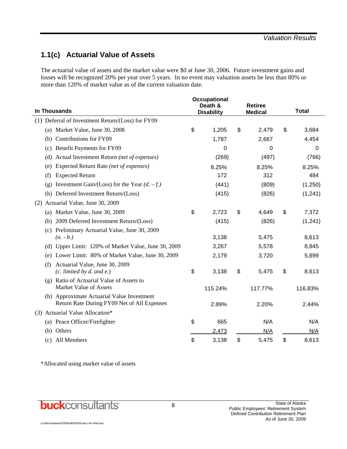## **1.1(c) Actuarial Value of Assets**

The actuarial value of assets and the market value were \$0 at June 30, 2006. Future investment gains and losses will be recognized 20% per year over 5 years. In no event may valuation assets be less than 80% or more than 120% of market value as of the current valuation date.

| <b>In Thousands</b>                                                 | <b>Occupational</b><br>Death &<br><b>Disability</b> | <b>Retiree</b><br><b>Medical</b> | <b>Total</b> |
|---------------------------------------------------------------------|-----------------------------------------------------|----------------------------------|--------------|
| (1) Deferral of Investment Return/(Loss) for FY09                   |                                                     |                                  |              |
| (a) Market Value, June 30, 2008                                     | \$<br>1,205                                         | \$<br>2,479                      | \$<br>3,684  |
| (b) Contributions for FY09                                          | 1,787                                               | 2,667                            | 4,454        |
| Benefit Payments for FY09<br>(c)                                    | 0                                                   | 0                                | 0            |
| Actual Investment Return (net of expenses)<br>(d)                   | (269)                                               | (497)                            | (766)        |
| Expected Return Rate (net of expenses)<br>(e)                       | 8.25%                                               | 8.25%                            | 8.25%        |
| <b>Expected Return</b><br>(f)                                       | 172                                                 | 312                              | 484          |
| Investment Gain/(Loss) for the Year $(d. -f.)$<br>(g)               | (441)                                               | (809)                            | (1,250)      |
| (h) Deferred Investment Return/(Loss)                               | (415)                                               | (826)                            | (1, 241)     |
| Actuarial Value, June 30, 2009<br>(2)                               |                                                     |                                  |              |
| Market Value, June 30, 2009<br>(a)                                  | \$<br>2,723                                         | \$<br>4,649                      | \$<br>7,372  |
| 2009 Deferred Investment Return/(Loss)<br>(b)                       | (415)                                               | (826)                            | (1, 241)     |
| Preliminary Actuarial Value, June 30, 2009<br>(c)                   |                                                     |                                  |              |
| $(a. - b.)$                                                         | 3,138                                               | 5,475                            | 8,613        |
| (d) Upper Limit: 120% of Market Value, June 30, 2009                | 3,267                                               | 5,578                            | 8,845        |
| Lower Limit: 80% of Market Value, June 30, 2009<br>(e)              | 2,179                                               | 3,720                            | 5,899        |
| Actuarial Value, June 30, 2009<br>(f)                               |                                                     |                                  |              |
| $(c.$ limited by $d.$ and $e.$ )                                    | \$<br>3,138                                         | \$<br>5,475                      | \$<br>8,613  |
| (g) Ratio of Actuarial Value of Assets to<br>Market Value of Assets |                                                     |                                  |              |
| (h) Approximate Actuarial Value Investment                          | 115.24%                                             | 117.77%                          | 116.83%      |
| Return Rate During FY09 Net of All Expenses                         | 2.89%                                               | 2.20%                            | 2.44%        |
| (3) Actuarial Value Allocation*                                     |                                                     |                                  |              |
| (a) Peace Officer/Firefighter                                       | \$<br>665                                           | N/A                              | N/A          |
| (b) Others                                                          | 2,473                                               | N/A                              | N/A          |
| All Members<br>(c)                                                  | \$<br>3,138                                         | \$<br>5,475                      | \$<br>8,613  |

\*Allocated using market value of assets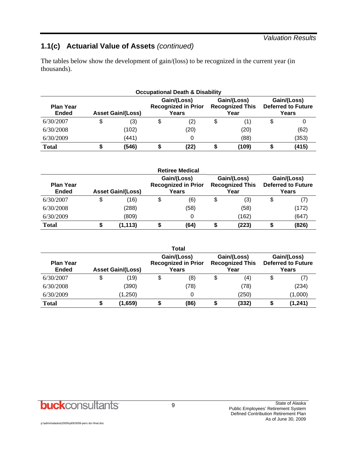#### *Valuation Results*

## **1.1(c) Actuarial Value of Assets** *(continued)*

The tables below show the development of gain/(loss) to be recognized in the current year (in thousands).

| <b>Occupational Death &amp; Disability</b> |    |                          |    |                                                    |    |                                               |  |                                                   |  |  |  |
|--------------------------------------------|----|--------------------------|----|----------------------------------------------------|----|-----------------------------------------------|--|---------------------------------------------------|--|--|--|
| <b>Plan Year</b><br><b>Ended</b>           |    | <b>Asset Gain/(Loss)</b> |    | Gain/(Loss)<br><b>Recognized in Prior</b><br>Years |    | Gain/(Loss)<br><b>Recognized This</b><br>Year |  | Gain/(Loss)<br><b>Deferred to Future</b><br>Years |  |  |  |
| 6/30/2007                                  | \$ | (3)                      | \$ | (2)                                                | \$ | (1)                                           |  |                                                   |  |  |  |
| 6/30/2008                                  |    | (102)                    |    | (20)                                               |    | (20)                                          |  | (62)                                              |  |  |  |
| 6/30/2009                                  |    | (441)                    |    |                                                    |    | (88)                                          |  | (353)                                             |  |  |  |
| <b>Total</b>                               |    | (546)                    |    | (22)                                               |    | (109)                                         |  | (415)                                             |  |  |  |

|                                  |                          | <b>Retiree Medical</b>                             |                                               |                                                   |
|----------------------------------|--------------------------|----------------------------------------------------|-----------------------------------------------|---------------------------------------------------|
| <b>Plan Year</b><br><b>Ended</b> | <b>Asset Gain/(Loss)</b> | Gain/(Loss)<br><b>Recognized in Prior</b><br>Years | Gain/(Loss)<br><b>Recognized This</b><br>Year | Gain/(Loss)<br><b>Deferred to Future</b><br>Years |
| 6/30/2007                        | \$<br>(16)               | \$<br>(6)                                          | \$<br>(3)                                     | \$<br>(7)                                         |
| 6/30/2008                        | (288)                    | (58)                                               | (58)                                          | (172)                                             |
| 6/30/2009                        | (809)                    |                                                    | (162)                                         | (647)                                             |
| <b>Total</b>                     | (1, 113)                 | (64)                                               | (223)                                         | (826)                                             |

|                                  |                          | <b>Total</b>                                       |                                               |                                                   |
|----------------------------------|--------------------------|----------------------------------------------------|-----------------------------------------------|---------------------------------------------------|
| <b>Plan Year</b><br><b>Ended</b> | <b>Asset Gain/(Loss)</b> | Gain/(Loss)<br><b>Recognized in Prior</b><br>Years | Gain/(Loss)<br><b>Recognized This</b><br>Year | Gain/(Loss)<br><b>Deferred to Future</b><br>Years |
| 6/30/2007                        | \$<br>(19)               | \$<br>(8)                                          | \$<br>(4)                                     | \$                                                |
| 6/30/2008                        | (390)                    | (78)                                               | (78)                                          | (234)                                             |
| 6/30/2009                        | (1,250)                  |                                                    | (250)                                         | (1,000)                                           |
| <b>Total</b>                     | \$<br>(1,659)            | (86)                                               | (332)                                         | (1, 241)                                          |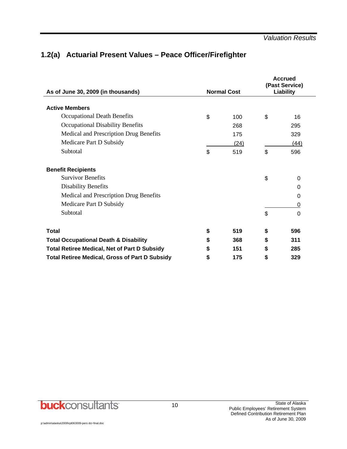## **1.2(a) Actuarial Present Values – Peace Officer/Firefighter**

| As of June 30, 2009 (in thousands)                    | <b>Normal Cost</b> |      |    | <b>Accrued</b><br>(Past Service)<br>Liability |
|-------------------------------------------------------|--------------------|------|----|-----------------------------------------------|
| <b>Active Members</b>                                 |                    |      |    |                                               |
| <b>Occupational Death Benefits</b>                    | \$                 | 100  | \$ | 16                                            |
| Occupational Disability Benefits                      |                    | 268  |    | 295                                           |
| Medical and Prescription Drug Benefits                |                    | 175  |    | 329                                           |
| Medicare Part D Subsidy                               |                    | (24) |    | (44)                                          |
| Subtotal                                              | \$                 | 519  | \$ | 596                                           |
| <b>Benefit Recipients</b>                             |                    |      |    |                                               |
| <b>Survivor Benefits</b>                              |                    |      | \$ | 0                                             |
| <b>Disability Benefits</b>                            |                    |      |    | 0                                             |
| Medical and Prescription Drug Benefits                |                    |      |    | 0                                             |
| Medicare Part D Subsidy                               |                    |      |    | 0                                             |
| Subtotal                                              |                    |      | \$ | 0                                             |
| <b>Total</b>                                          | \$                 | 519  | \$ | 596                                           |
| <b>Total Occupational Death &amp; Disability</b>      | \$                 | 368  | \$ | 311                                           |
| <b>Total Retiree Medical, Net of Part D Subsidy</b>   | S                  | 151  | \$ | 285                                           |
| <b>Total Retiree Medical, Gross of Part D Subsidy</b> | S                  | 175  | \$ | 329                                           |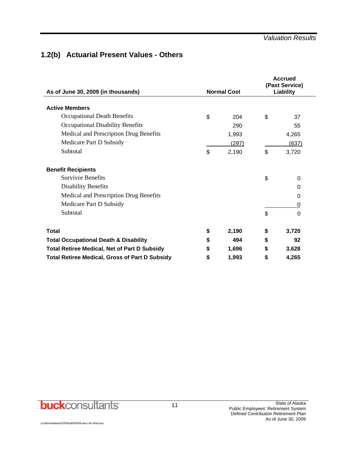#### *Valuation Results*

## **1.2(b) Actuarial Present Values - Others**

| As of June 30, 2009 (in thousands)                    |    | <b>Normal Cost</b> | <b>Accrued</b><br>(Past Service)<br>Liability |       |  |
|-------------------------------------------------------|----|--------------------|-----------------------------------------------|-------|--|
|                                                       |    |                    |                                               |       |  |
| <b>Active Members</b>                                 |    |                    |                                               |       |  |
| Occupational Death Benefits                           | \$ | 204                | \$                                            | 37    |  |
| <b>Occupational Disability Benefits</b>               |    | 290                |                                               | 55    |  |
| Medical and Prescription Drug Benefits                |    | 1,993              |                                               | 4,265 |  |
| Medicare Part D Subsidy                               |    | (297)              |                                               | (637) |  |
| Subtotal                                              | \$ | 2,190              | \$                                            | 3,720 |  |
| <b>Benefit Recipients</b>                             |    |                    |                                               |       |  |
| <b>Survivor Benefits</b>                              |    |                    | \$                                            | 0     |  |
| <b>Disability Benefits</b>                            |    |                    |                                               | 0     |  |
| Medical and Prescription Drug Benefits                |    |                    |                                               | 0     |  |
| Medicare Part D Subsidy                               |    |                    |                                               | 0     |  |
| Subtotal                                              |    |                    | \$                                            | 0     |  |
| <b>Total</b>                                          | \$ | 2,190              | \$                                            | 3,720 |  |
| <b>Total Occupational Death &amp; Disability</b>      | \$ | 494                | \$                                            | 92    |  |
| <b>Total Retiree Medical, Net of Part D Subsidy</b>   | \$ | 1,696              | \$                                            | 3,628 |  |
| <b>Total Retiree Medical, Gross of Part D Subsidy</b> | S  | 1,993              | \$                                            | 4,265 |  |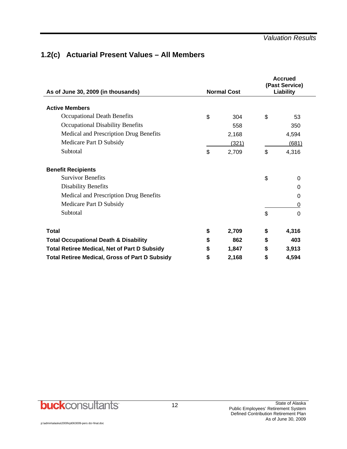## **1.2(c) Actuarial Present Values – All Members**

| As of June 30, 2009 (in thousands)                    | <b>Normal Cost</b> |       |    | <b>Accrued</b><br>(Past Service)<br>Liability |
|-------------------------------------------------------|--------------------|-------|----|-----------------------------------------------|
| <b>Active Members</b>                                 |                    |       |    |                                               |
| Occupational Death Benefits                           | \$                 | 304   | \$ | 53                                            |
| <b>Occupational Disability Benefits</b>               |                    | 558   |    | 350                                           |
| Medical and Prescription Drug Benefits                |                    | 2,168 |    | 4,594                                         |
| Medicare Part D Subsidy                               |                    | (321) |    | (681)                                         |
| Subtotal                                              | \$                 | 2,709 | \$ | 4,316                                         |
| <b>Benefit Recipients</b>                             |                    |       |    |                                               |
| <b>Survivor Benefits</b>                              |                    |       | \$ | 0                                             |
| <b>Disability Benefits</b>                            |                    |       |    | 0                                             |
| Medical and Prescription Drug Benefits                |                    |       |    | 0                                             |
| Medicare Part D Subsidy                               |                    |       |    | 0                                             |
| Subtotal                                              |                    |       | \$ | $\Omega$                                      |
| <b>Total</b>                                          | \$                 | 2,709 | \$ | 4,316                                         |
| <b>Total Occupational Death &amp; Disability</b>      | \$                 | 862   | \$ | 403                                           |
| <b>Total Retiree Medical, Net of Part D Subsidy</b>   | S                  | 1,847 | \$ | 3,913                                         |
| <b>Total Retiree Medical, Gross of Part D Subsidy</b> | \$                 | 2,168 | \$ | 4,594                                         |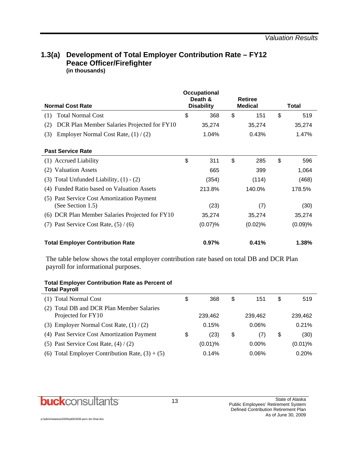#### **1.3(a) Development of Total Employer Contribution Rate – FY12 Peace Officer/Firefighter (in thousands)**

| <b>Normal Cost Rate</b>                                         |    | Occupational<br>Death &<br><b>Disability</b> | <b>Retiree</b><br><b>Medical</b> |         | Total |         |
|-----------------------------------------------------------------|----|----------------------------------------------|----------------------------------|---------|-------|---------|
| <b>Total Normal Cost</b><br>(1)                                 | \$ | 368                                          | \$                               | 151     | \$    | 519     |
| DCR Plan Member Salaries Projected for FY10<br>(2)              |    | 35,274                                       |                                  | 35,274  |       | 35,274  |
| (3)<br>Employer Normal Cost Rate, $(1) / (2)$                   |    | 1.04%                                        |                                  | 0.43%   |       | 1.47%   |
| <b>Past Service Rate</b>                                        |    |                                              |                                  |         |       |         |
| (1) Accrued Liability                                           | \$ | 311                                          | \$                               | 285     | \$    | 596     |
| <b>Valuation Assets</b><br>(2)                                  |    | 665                                          |                                  | 399     |       | 1,064   |
| Total Unfunded Liability, $(1) - (2)$<br>(3)                    |    | (354)                                        |                                  | (114)   |       | (468)   |
| Funded Ratio based on Valuation Assets<br>(4)                   |    | 213.8%                                       |                                  | 140.0%  |       | 178.5%  |
| (5) Past Service Cost Amortization Payment<br>(See Section 1.5) |    | (23)                                         |                                  | (7)     |       | (30)    |
| (6) DCR Plan Member Salaries Projected for FY10                 |    | 35,274                                       |                                  | 35,274  |       | 35,274  |
| (7) Past Service Cost Rate, $(5) / (6)$                         |    | (0.07)%                                      |                                  | (0.02)% |       | (0.09)% |
| <b>Total Employer Contribution Rate</b>                         |    | 0.97%                                        |                                  | 0.41%   |       | 1.38%   |

The table below shows the total employer contribution rate based on total DB and DCR Plan payroll for informational purposes.

| <b>Total Employer Contribution Rate as Percent of</b> |  |
|-------------------------------------------------------|--|
| <b>Total Payroll</b>                                  |  |

| (1) Total Normal Cost                                           | S  | 368        | \$<br>151 | S  | 519        |
|-----------------------------------------------------------------|----|------------|-----------|----|------------|
| (2) Total DB and DCR Plan Member Salaries<br>Projected for FY10 |    | 239,462    | 239,462   |    | 239,462    |
| (3) Employer Normal Cost Rate, $(1) / (2)$                      |    | 0.15%      | 0.06%     |    | 0.21%      |
| (4) Past Service Cost Amortization Payment                      | \$ | (23)       | \$<br>(7) | \$ | (30)       |
| (5) Past Service Cost Rate, $(4) / (2)$                         |    | $(0.01)$ % | $0.00\%$  |    | $(0.01)$ % |
| (6) Total Employer Contribution Rate, $(3) + (5)$               |    | 0.14%      | 0.06%     |    | 0.20%      |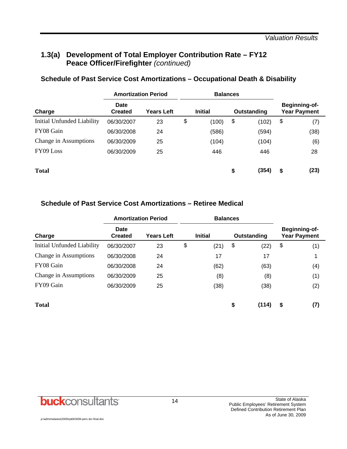## **1.3(a) Development of Total Employer Contribution Rate – FY12 Peace Officer/Firefighter** *(continued)*

|                            | <b>Amortization Period</b> |                   |    | <b>Balances</b> |    |             |    |                                      |
|----------------------------|----------------------------|-------------------|----|-----------------|----|-------------|----|--------------------------------------|
| Charge                     | Date<br><b>Created</b>     | <b>Years Left</b> |    | <b>Initial</b>  |    | Outstanding |    | Beginning-of-<br><b>Year Payment</b> |
| Initial Unfunded Liability | 06/30/2007                 | 23                | \$ | (100)           | \$ | (102)       | \$ | (7)                                  |
| FY08 Gain                  | 06/30/2008                 | 24                |    | (586)           |    | (594)       |    | (38)                                 |
| Change in Assumptions      | 06/30/2009                 | 25                |    | (104)           |    | (104)       |    | (6)                                  |
| FY09 Loss                  | 06/30/2009                 | 25                |    | 446             |    | 446         |    | 28                                   |
| <b>Total</b>               |                            |                   |    |                 | \$ | (354)       | \$ | (23)                                 |

### **Schedule of Past Service Cost Amortizations – Occupational Death & Disability**

#### **Schedule of Past Service Cost Amortizations – Retiree Medical**

|                            | <b>Amortization Period</b> |                   | <b>Balances</b> |                |    |             |    |                                             |
|----------------------------|----------------------------|-------------------|-----------------|----------------|----|-------------|----|---------------------------------------------|
| Charge                     | Date<br><b>Created</b>     | <b>Years Left</b> |                 | <b>Initial</b> |    | Outstanding |    | <b>Beginning-of-</b><br><b>Year Payment</b> |
| Initial Unfunded Liability | 06/30/2007                 | 23                | \$              | (21)           | \$ | (22)        | \$ | (1)                                         |
| Change in Assumptions      | 06/30/2008                 | 24                |                 | 17             |    | 17          |    | 1                                           |
| FY08 Gain                  | 06/30/2008                 | 24                |                 | (62)           |    | (63)        |    | (4)                                         |
| Change in Assumptions      | 06/30/2009                 | 25                |                 | (8)            |    | (8)         |    | (1)                                         |
| FY09 Gain                  | 06/30/2009                 | 25                |                 | (38)           |    | (38)        |    | (2)                                         |
|                            |                            |                   |                 |                |    |             |    |                                             |
| <b>Total</b>               |                            |                   |                 |                | \$ | (114)       | \$ | (7)                                         |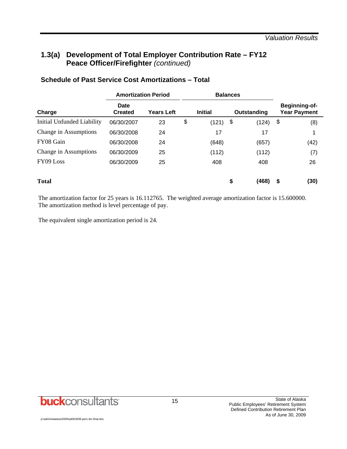## **1.3(a) Development of Total Employer Contribution Rate – FY12 Peace Officer/Firefighter** *(continued)*

|                            | <b>Amortization Period</b> |                   |    | <b>Balances</b> |             |    |                                      |
|----------------------------|----------------------------|-------------------|----|-----------------|-------------|----|--------------------------------------|
| Charge                     | Date<br><b>Created</b>     | <b>Years Left</b> |    | <b>Initial</b>  | Outstanding |    | Beginning-of-<br><b>Year Payment</b> |
| Initial Unfunded Liability | 06/30/2007                 | 23                | \$ | (121)           | \$<br>(124) | \$ | (8)                                  |
| Change in Assumptions      | 06/30/2008                 | 24                |    | 17              | 17          |    |                                      |
| FY08 Gain                  | 06/30/2008                 | 24                |    | (648)           | (657)       |    | (42)                                 |
| Change in Assumptions      | 06/30/2009                 | 25                |    | (112)           | (112)       |    | (7)                                  |
| FY09 Loss                  | 06/30/2009                 | 25                |    | 408             | 408         |    | 26                                   |
| <b>Total</b>               |                            |                   |    |                 | \$<br>(468) | S  | (30)                                 |

#### **Schedule of Past Service Cost Amortizations – Total**

The amortization factor for 25 years is 16.112765. The weighted average amortization factor is 15.600000. The amortization method is level percentage of pay.

The equivalent single amortization period is 24.

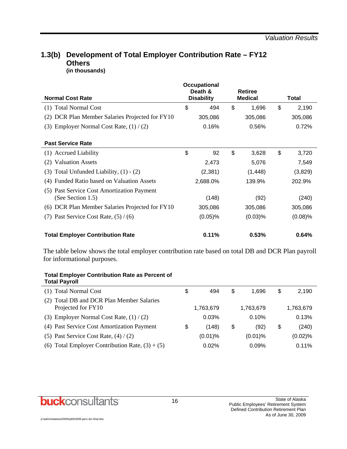## **1.3(b) Development of Total Employer Contribution Rate – FY12 Others**

**(in thousands)** 

|                                                 | <b>Occupational</b><br>Death & |                | <b>Retiree</b> |    |              |
|-------------------------------------------------|--------------------------------|----------------|----------------|----|--------------|
| <b>Normal Cost Rate</b>                         | <b>Disability</b>              | <b>Medical</b> |                |    | <b>Total</b> |
| (1) Total Normal Cost                           | \$<br>494                      | \$             | 1,696          | \$ | 2,190        |
| (2) DCR Plan Member Salaries Projected for FY10 | 305,086                        |                | 305,086        |    | 305,086      |
| (3) Employer Normal Cost Rate, $(1) / (2)$      | 0.16%                          |                | 0.56%          |    | 0.72%        |
|                                                 |                                |                |                |    |              |
| <b>Past Service Rate</b>                        |                                |                |                |    |              |
| (1) Accrued Liability                           | \$<br>92                       | \$             | 3,628          | \$ | 3,720        |
| <b>Valuation Assets</b><br>(2)                  | 2,473                          |                | 5,076          |    | 7,549        |
| (3) Total Unfunded Liability, $(1) - (2)$       | (2, 381)                       |                | (1, 448)       |    | (3,829)      |
| (4) Funded Ratio based on Valuation Assets      | 2,688.0%                       | 139.9%         |                |    | 202.9%       |
| (5) Past Service Cost Amortization Payment      |                                |                |                |    |              |
| (See Section 1.5)                               | (148)                          |                | (92)           |    | (240)        |
| (6) DCR Plan Member Salaries Projected for FY10 | 305,086                        |                | 305,086        |    | 305,086      |
| Past Service Cost Rate, $(5) / (6)$<br>(7)      | $(0.05)\%$                     |                | $(0.03)$ %     |    | $(0.08)$ %   |
| <b>Total Employer Contribution Rate</b>         | 0.11%                          |                | 0.53%          |    | 0.64%        |

The table below shows the total employer contribution rate based on total DB and DCR Plan payroll for informational purposes.

#### **Total Employer Contribution Rate as Percent of Total Payroll**

| (1) Total Normal Cost                                           | \$<br>494   | \$<br>1.696 | \$ | 2,190     |
|-----------------------------------------------------------------|-------------|-------------|----|-----------|
| (2) Total DB and DCR Plan Member Salaries<br>Projected for FY10 | 1,763,679   | 1,763,679   |    | 1,763,679 |
| (3) Employer Normal Cost Rate, $(1) / (2)$                      | 0.03%       | 0.10%       |    | 0.13%     |
| (4) Past Service Cost Amortization Payment                      | \$<br>(148) | \$<br>(92)  | S  | (240)     |
| (5) Past Service Cost Rate, $(4) / (2)$                         | $(0.01)$ %  | $(0.01)\%$  |    | (0.02)%   |
| (6) Total Employer Contribution Rate, $(3) + (5)$               | 0.02%       | 0.09%       |    | 0.11%     |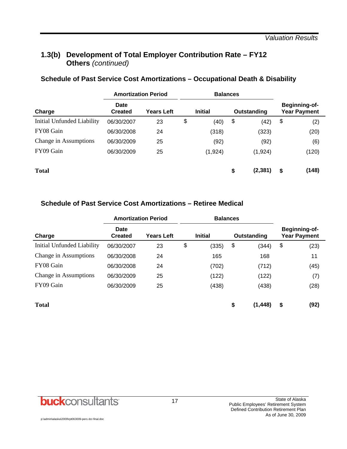## **1.3(b) Development of Total Employer Contribution Rate – FY12 Others** *(continued)*

|                            | <b>Amortization Period</b> |                   |    | <b>Balances</b> |                |                                      |
|----------------------------|----------------------------|-------------------|----|-----------------|----------------|--------------------------------------|
| Charge                     | Date<br><b>Created</b>     | <b>Years Left</b> |    | <b>Initial</b>  | Outstanding    | Beginning-of-<br><b>Year Payment</b> |
| Initial Unfunded Liability | 06/30/2007                 | 23                | \$ | (40)            | \$<br>(42)     | \$<br>(2)                            |
| FY08 Gain                  | 06/30/2008                 | 24                |    | (318)           | (323)          | (20)                                 |
| Change in Assumptions      | 06/30/2009                 | 25                |    | (92)            | (92)           | (6)                                  |
| FY09 Gain                  | 06/30/2009                 | 25                |    | (1,924)         | (1, 924)       | (120)                                |
| <b>Total</b>               |                            |                   |    |                 | \$<br>(2, 381) | \$<br>(148)                          |

# **Schedule of Past Service Cost Amortizations – Occupational Death & Disability**

#### **Schedule of Past Service Cost Amortizations – Retiree Medical**

|                            | <b>Amortization Period</b> |                   | <b>Balances</b> |       |    |          |    |      |  |  |  |  |             |  |                                      |  |
|----------------------------|----------------------------|-------------------|-----------------|-------|----|----------|----|------|--|--|--|--|-------------|--|--------------------------------------|--|
| Charge                     | Date<br><b>Created</b>     | <b>Years Left</b> | <b>Initial</b>  |       |    |          |    |      |  |  |  |  | Outstanding |  | Beginning-of-<br><b>Year Payment</b> |  |
| Initial Unfunded Liability | 06/30/2007                 | 23                | \$              | (335) | \$ | (344)    | \$ | (23) |  |  |  |  |             |  |                                      |  |
| Change in Assumptions      | 06/30/2008                 | 24                |                 | 165   |    | 168      |    | 11   |  |  |  |  |             |  |                                      |  |
| FY08 Gain                  | 06/30/2008                 | 24                |                 | (702) |    | (712)    |    | (45) |  |  |  |  |             |  |                                      |  |
| Change in Assumptions      | 06/30/2009                 | 25                |                 | (122) |    | (122)    |    | (7)  |  |  |  |  |             |  |                                      |  |
| FY09 Gain                  | 06/30/2009                 | 25                |                 | (438) |    | (438)    |    | (28) |  |  |  |  |             |  |                                      |  |
| <b>Total</b>               |                            |                   |                 |       | \$ | (1, 448) | \$ | (92) |  |  |  |  |             |  |                                      |  |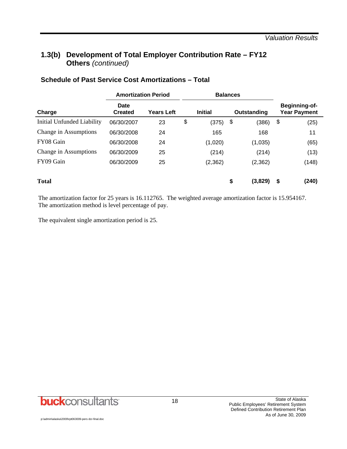## **1.3(b) Development of Total Employer Contribution Rate – FY12 Others** *(continued)*

|                            | <b>Amortization Period</b> |                   |    | <b>Balances</b> |               |                                             |
|----------------------------|----------------------------|-------------------|----|-----------------|---------------|---------------------------------------------|
| Charge                     | Date<br><b>Created</b>     | <b>Years Left</b> |    | <b>Initial</b>  | Outstanding   | <b>Beginning-of-</b><br><b>Year Payment</b> |
| Initial Unfunded Liability | 06/30/2007                 | 23                | \$ | (375)           | \$<br>(386)   | \$<br>(25)                                  |
| Change in Assumptions      | 06/30/2008                 | 24                |    | 165             | 168           | 11                                          |
| FY08 Gain                  | 06/30/2008                 | 24                |    | (1,020)         | (1,035)       | (65)                                        |
| Change in Assumptions      | 06/30/2009                 | 25                |    | (214)           | (214)         | (13)                                        |
| FY09 Gain                  | 06/30/2009                 | 25                |    | (2, 362)        | (2, 362)      | (148)                                       |
| <b>Total</b>               |                            |                   |    |                 | \$<br>(3,829) | \$<br>(240)                                 |

#### **Schedule of Past Service Cost Amortizations – Total**

The amortization factor for 25 years is 16.112765. The weighted average amortization factor is 15.954167. The amortization method is level percentage of pay.

The equivalent single amortization period is 25.

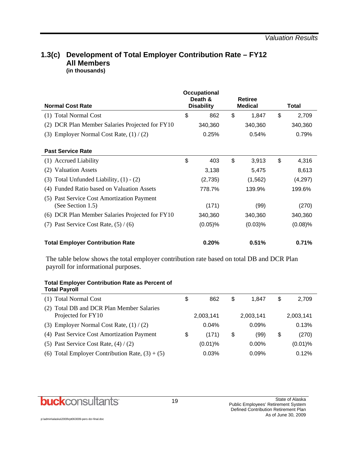#### **1.3(c) Development of Total Employer Contribution Rate – FY12 All Members (in thousands)**

| <b>Normal Cost Rate</b>                                            | Occupational<br>Death &<br><b>Disability</b> | Retiree<br><b>Medical</b> | Total |            |  |
|--------------------------------------------------------------------|----------------------------------------------|---------------------------|-------|------------|--|
| (1) Total Normal Cost                                              | \$<br>862                                    | \$<br>1,847               | \$    | 2,709      |  |
| (2) DCR Plan Member Salaries Projected for FY10                    | 340,360                                      | 340,360                   |       | 340,360    |  |
| Employer Normal Cost Rate, $(1) / (2)$<br>(3)                      | 0.25%                                        | 0.54%                     |       | 0.79%      |  |
| <b>Past Service Rate</b>                                           |                                              |                           |       |            |  |
| (1) Accrued Liability                                              | \$<br>403                                    | \$<br>3,913               | \$    | 4,316      |  |
| <b>Valuation Assets</b><br>(2)                                     | 3,138                                        | 5,475                     |       | 8,613      |  |
| Total Unfunded Liability, $(1) - (2)$<br>(3)                       | (2,735)                                      | (1, 562)                  |       | (4,297)    |  |
| Funded Ratio based on Valuation Assets<br>(4)                      | 778.7%                                       | 139.9%                    |       | 199.6%     |  |
| Past Service Cost Amortization Payment<br>(5)<br>(See Section 1.5) | (171)                                        | (99)                      |       | (270)      |  |
| (6) DCR Plan Member Salaries Projected for FY10                    | 340,360                                      | 340,360                   |       | 340,360    |  |
| Past Service Cost Rate, $(5) / (6)$<br>(7)                         | $(0.05)\%$                                   | $(0.03)$ %                |       | $(0.08)$ % |  |
| <b>Total Employer Contribution Rate</b>                            | 0.20%                                        | 0.51%                     |       | 0.71%      |  |

The table below shows the total employer contribution rate based on total DB and DCR Plan payroll for informational purposes.

| <b>Total Employer Contribution Rate as Percent of</b> |  |
|-------------------------------------------------------|--|
| <b>Total Payroll</b>                                  |  |

| (1) Total Normal Cost                                           | \$<br>862   | \$<br>1.847 | S  | 2,709      |
|-----------------------------------------------------------------|-------------|-------------|----|------------|
| (2) Total DB and DCR Plan Member Salaries<br>Projected for FY10 | 2,003,141   | 2,003,141   |    | 2,003,141  |
| (3) Employer Normal Cost Rate, $(1) / (2)$                      | 0.04%       | 0.09%       |    | 0.13%      |
| (4) Past Service Cost Amortization Payment                      | \$<br>(171) | \$<br>(99)  | \$ | (270)      |
| (5) Past Service Cost Rate, $(4) / (2)$                         | $(0.01)\%$  | $0.00\%$    |    | $(0.01)$ % |
| (6) Total Employer Contribution Rate, $(3) + (5)$               | 0.03%       | 0.09%       |    | 0.12%      |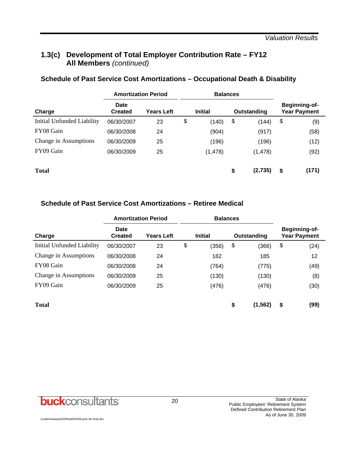## **1.3(c) Development of Total Employer Contribution Rate – FY12 All Members** *(continued)*

|                            | <b>Amortization Period</b> |                   |    | <b>Balances</b> |    |             |    |                                      |
|----------------------------|----------------------------|-------------------|----|-----------------|----|-------------|----|--------------------------------------|
| Charge                     | Date<br><b>Created</b>     | <b>Years Left</b> |    | <b>Initial</b>  |    | Outstanding |    | Beginning-of-<br><b>Year Payment</b> |
| Initial Unfunded Liability | 06/30/2007                 | 23                | \$ | (140)           | \$ | (144)       | \$ | (9)                                  |
| FY08 Gain                  | 06/30/2008                 | 24                |    | (904)           |    | (917)       |    | (58)                                 |
| Change in Assumptions      | 06/30/2009                 | 25                |    | (196)           |    | (196)       |    | (12)                                 |
| FY09 Gain                  | 06/30/2009                 | 25                |    | (1, 478)        |    | (1, 478)    |    | (92)                                 |
| <b>Total</b>               |                            |                   |    |                 | \$ | (2,735)     | \$ | (171)                                |

#### **Schedule of Past Service Cost Amortizations – Occupational Death & Disability**

#### **Schedule of Past Service Cost Amortizations – Retiree Medical**

|                            | <b>Amortization Period</b> |                   | <b>Balances</b> |                |    |             |                                             |
|----------------------------|----------------------------|-------------------|-----------------|----------------|----|-------------|---------------------------------------------|
| Charge                     | Date<br><b>Created</b>     | <b>Years Left</b> |                 | <b>Initial</b> |    | Outstanding | <b>Beginning-of-</b><br><b>Year Payment</b> |
| Initial Unfunded Liability | 06/30/2007                 | 23                | \$              | (356)          | \$ | (366)       | \$<br>(24)                                  |
| Change in Assumptions      | 06/30/2008                 | 24                |                 | 182            |    | 185         | 12                                          |
| FY08 Gain                  | 06/30/2008                 | 24                |                 | (764)          |    | (775)       | (49)                                        |
| Change in Assumptions      | 06/30/2009                 | 25                |                 | (130)          |    | (130)       | (8)                                         |
| FY09 Gain                  | 06/30/2009                 | 25                |                 | (476)          |    | (476)       | (30)                                        |
| <b>Total</b>               |                            |                   |                 |                | \$ | (1, 562)    | \$<br>(99)                                  |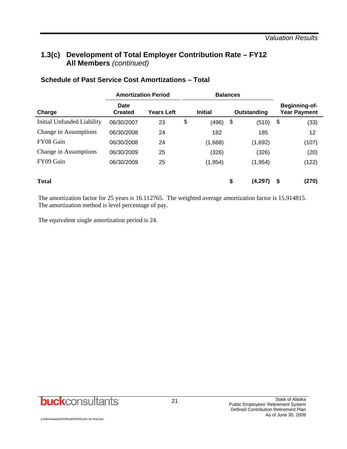## **1.3(c) Development of Total Employer Contribution Rate – FY12 All Members** *(continued)*

|                            | <b>Amortization Period</b> |                   |                | <b>Balances</b> |             |          |                                      |       |  |
|----------------------------|----------------------------|-------------------|----------------|-----------------|-------------|----------|--------------------------------------|-------|--|
| Charge                     | Date<br><b>Created</b>     | <b>Years Left</b> | <b>Initial</b> |                 | Outstanding |          | Beginning-of-<br><b>Year Payment</b> |       |  |
| Initial Unfunded Liability | 06/30/2007                 | 23                | \$             | (496)           | \$          | (510)    | \$                                   | (33)  |  |
| Change in Assumptions      | 06/30/2008                 | 24                |                | 182             |             | 185      |                                      | 12    |  |
| FY08 Gain                  | 06/30/2008                 | 24                |                | (1,668)         |             | (1,692)  |                                      | (107) |  |
| Change in Assumptions      | 06/30/2009                 | 25                |                | (326)           |             | (326)    |                                      | (20)  |  |
| FY09 Gain                  | 06/30/2009                 | 25                |                | (1, 954)        |             | (1, 954) |                                      | (122) |  |
| <b>Total</b>               |                            |                   |                |                 | \$          | (4,297)  | \$                                   | (270) |  |

#### **Schedule of Past Service Cost Amortizations – Total**

The amortization factor for 25 years is 16.112765. The weighted average amortization factor is 15.914815. The amortization method is level percentage of pay.

The equivalent single amortization period is 24.

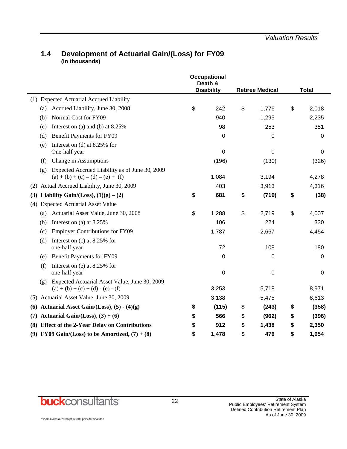#### **1.4 Development of Actuarial Gain/(Loss) for FY09 (in thousands)**

|                                                         |                                                                                       | Occupational<br>Death &<br><b>Disability</b> |       | <b>Retiree Medical</b> | <b>Total</b> |             |
|---------------------------------------------------------|---------------------------------------------------------------------------------------|----------------------------------------------|-------|------------------------|--------------|-------------|
| (1) Expected Actuarial Accrued Liability                |                                                                                       |                                              |       |                        |              |             |
| (a)                                                     | Accrued Liability, June 30, 2008                                                      | \$<br>242                                    | \$    | 1,776                  | \$           | 2,018       |
| Normal Cost for FY09<br>(b)                             |                                                                                       | 940                                          |       | 1,295                  |              | 2,235       |
| (c)                                                     | Interest on (a) and (b) at $8.25\%$                                                   | 98                                           |       | 253                    |              | 351         |
| Benefit Payments for FY09<br>(d)                        |                                                                                       | 0                                            |       | 0                      |              | $\mathbf 0$ |
| Interest on (d) at $8.25\%$ for<br>(e)<br>One-half year |                                                                                       | 0                                            |       | 0                      |              | 0           |
| Change in Assumptions<br>(f)                            |                                                                                       | (196)                                        |       | (130)                  |              | (326)       |
| (g)                                                     | Expected Accrued Liability as of June 30, 2009<br>$(a) + (b) + (c) - (d) - (e) + (f)$ | 1,084                                        |       | 3,194                  |              | 4,278       |
| Actual Accrued Liability, June 30, 2009<br>(2)          | 403                                                                                   |                                              | 3,913 |                        | 4,316        |             |
| Liability Gain/(Loss), $(1)(g) - (2)$<br>(3)            |                                                                                       | \$<br>681                                    | \$    | (719)                  | \$           | (38)        |
| <b>Expected Actuarial Asset Value</b><br>(4)            |                                                                                       |                                              |       |                        |              |             |
|                                                         | (a) Actuarial Asset Value, June 30, 2008                                              | \$<br>1,288                                  | \$    | 2,719                  | \$           | 4,007       |
| Interest on (a) at 8.25%<br>(b)                         |                                                                                       | 106                                          |       | 224                    |              | 330         |
| (c)                                                     | <b>Employer Contributions for FY09</b>                                                | 1,787                                        |       | 2,667                  |              | 4,454       |
| Interest on $(c)$ at 8.25% for<br>(d)<br>one-half year  |                                                                                       | 72                                           |       | 108                    |              | 180         |
| Benefit Payments for FY09<br>(e)                        |                                                                                       | 0                                            |       | 0                      |              | 0           |
| Interest on (e) at $8.25\%$ for<br>(f)<br>one-half year |                                                                                       | $\mathbf 0$                                  |       | 0                      |              | 0           |
| (g)<br>$(a) + (b) + (c) + (d) - (e) - (f)$              | Expected Actuarial Asset Value, June 30, 2009                                         | 3,253                                        |       | 5,718                  |              | 8,971       |
| (5) Actuarial Asset Value, June 30, 2009                |                                                                                       | 3,138                                        |       | 5,475                  |              | 8,613       |
| (6)                                                     | Actuarial Asset Gain/(Loss), $(5) - (4)(g)$                                           | \$<br>(115)                                  | \$    | (243)                  | \$           | (358)       |
| Actuarial Gain/(Loss), $(3) + (6)$<br>(7)               |                                                                                       | \$<br>566                                    | \$    | (962)                  | \$           | (396)       |
|                                                         | (8) Effect of the 2-Year Delay on Contributions                                       | \$<br>912                                    | \$    | 1,438                  | \$           | 2,350       |
|                                                         | (9) FY09 Gain/(Loss) to be Amortized, $(7) + (8)$                                     | \$<br>1,478                                  | \$    | 476                    | \$           | 1,954       |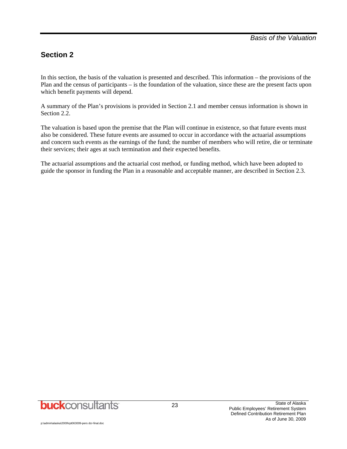## **Section 2**

In this section, the basis of the valuation is presented and described. This information – the provisions of the Plan and the census of participants – is the foundation of the valuation, since these are the present facts upon which benefit payments will depend.

A summary of the Plan's provisions is provided in Section 2.1 and member census information is shown in Section 2.2.

The valuation is based upon the premise that the Plan will continue in existence, so that future events must also be considered. These future events are assumed to occur in accordance with the actuarial assumptions and concern such events as the earnings of the fund; the number of members who will retire, die or terminate their services; their ages at such termination and their expected benefits.

The actuarial assumptions and the actuarial cost method, or funding method, which have been adopted to guide the sponsor in funding the Plan in a reasonable and acceptable manner, are described in Section 2.3.

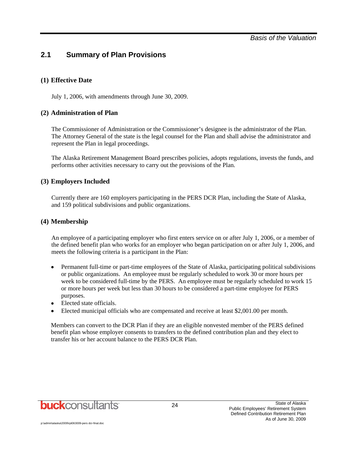## **2.1 Summary of Plan Provisions**

#### **(1) Effective Date**

July 1, 2006, with amendments through June 30, 2009.

#### **(2) Administration of Plan**

The Commissioner of Administration or the Commissioner's designee is the administrator of the Plan. The Attorney General of the state is the legal counsel for the Plan and shall advise the administrator and represent the Plan in legal proceedings.

The Alaska Retirement Management Board prescribes policies, adopts regulations, invests the funds, and performs other activities necessary to carry out the provisions of the Plan.

#### **(3) Employers Included**

Currently there are 160 employers participating in the PERS DCR Plan, including the State of Alaska, and 159 political subdivisions and public organizations.

#### **(4) Membership**

An employee of a participating employer who first enters service on or after July 1, 2006, or a member of the defined benefit plan who works for an employer who began participation on or after July 1, 2006, and meets the following criteria is a participant in the Plan:

- Permanent full-time or part-time employees of the State of Alaska, participating political subdivisions or public organizations. An employee must be regularly scheduled to work 30 or more hours per week to be considered full-time by the PERS. An employee must be regularly scheduled to work 15 or more hours per week but less than 30 hours to be considered a part-time employee for PERS purposes.
- Elected state officials.
- Elected municipal officials who are compensated and receive at least \$2,001.00 per month.

Members can convert to the DCR Plan if they are an eligible nonvested member of the PERS defined benefit plan whose employer consents to transfers to the defined contribution plan and they elect to transfer his or her account balance to the PERS DCR Plan.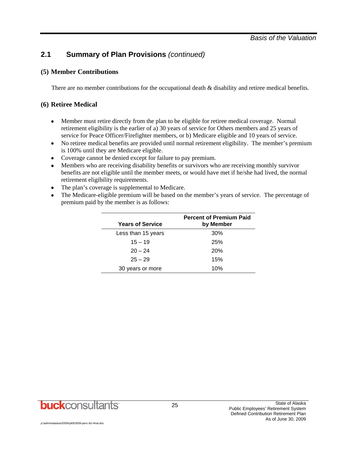## **2.1 Summary of Plan Provisions** *(continued)*

#### **(5) Member Contributions**

There are no member contributions for the occupational death & disability and retiree medical benefits.

#### **(6) Retiree Medical**

- Member must retire directly from the plan to be eligible for retiree medical coverage. Normal retirement eligibility is the earlier of a) 30 years of service for Others members and 25 years of service for Peace Officer/Firefighter members, or b) Medicare eligible and 10 years of service.
- No retiree medical benefits are provided until normal retirement eligibility. The member's premium is 100% until they are Medicare eligible.
- Coverage cannot be denied except for failure to pay premium.
- Members who are receiving disability benefits or survivors who are receiving monthly survivor benefits are not eligible until the member meets, or would have met if he/she had lived, the normal retirement eligibility requirements.
- The plan's coverage is supplemental to Medicare.
- The Medicare-eligible premium will be based on the member's years of service. The percentage of premium paid by the member is as follows:

| <b>Years of Service</b> | <b>Percent of Premium Paid</b><br>by Member |
|-------------------------|---------------------------------------------|
| Less than 15 years      | 30%                                         |
| $15 - 19$               | 25%                                         |
| $20 - 24$               | 20%                                         |
| $25 - 29$               | 15%                                         |
| 30 years or more        | 10%                                         |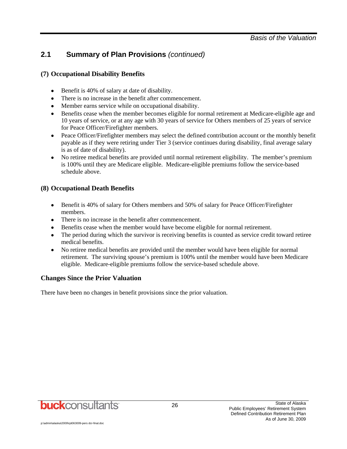## **2.1 Summary of Plan Provisions** *(continued)*

#### **(7) Occupational Disability Benefits**

- Benefit is 40% of salary at date of disability.
- There is no increase in the benefit after commencement.
- Member earns service while on occupational disability.
- Benefits cease when the member becomes eligible for normal retirement at Medicare-eligible age and 10 years of service, or at any age with 30 years of service for Others members of 25 years of service for Peace Officer/Firefighter members.
- Peace Officer/Firefighter members may select the defined contribution account or the monthly benefit payable as if they were retiring under Tier 3 (service continues during disability, final average salary is as of date of disability).
- No retiree medical benefits are provided until normal retirement eligibility. The member's premium is 100% until they are Medicare eligible. Medicare-eligible premiums follow the service-based schedule above.

#### **(8) Occupational Death Benefits**

- Benefit is 40% of salary for Others members and 50% of salary for Peace Officer/Firefighter members.
- There is no increase in the benefit after commencement.
- Benefits cease when the member would have become eligible for normal retirement.
- The period during which the survivor is receiving benefits is counted as service credit toward retiree medical benefits.
- No retiree medical benefits are provided until the member would have been eligible for normal retirement. The surviving spouse's premium is 100% until the member would have been Medicare eligible. Medicare-eligible premiums follow the service-based schedule above.

#### **Changes Since the Prior Valuation**

There have been no changes in benefit provisions since the prior valuation.

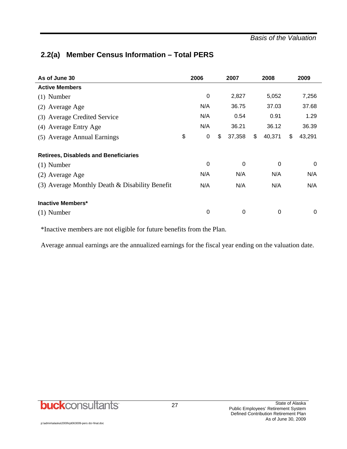## **2.2(a) Member Census Information – Total PERS**

| As of June 30                                  | 2006              | 2007         | 2008         | 2009         |
|------------------------------------------------|-------------------|--------------|--------------|--------------|
| <b>Active Members</b>                          |                   |              |              |              |
| $(1)$ Number                                   | $\mathbf 0$       | 2,827        | 5,052        | 7,256        |
| (2) Average Age                                | N/A               | 36.75        | 37.03        | 37.68        |
| (3) Average Credited Service                   | N/A               | 0.54         | 0.91         | 1.29         |
| (4) Average Entry Age                          | N/A               | 36.21        | 36.12        | 36.39        |
| (5) Average Annual Earnings                    | \$<br>$\mathbf 0$ | \$<br>37,358 | \$<br>40,371 | \$<br>43,291 |
| <b>Retirees, Disableds and Beneficiaries</b>   |                   |              |              |              |
| $(1)$ Number                                   | 0                 | $\mathbf 0$  | 0            | 0            |
| (2) Average Age                                | N/A               | N/A          | N/A          | N/A          |
| (3) Average Monthly Death & Disability Benefit | N/A               | N/A          | N/A          | N/A          |
| <b>Inactive Members*</b>                       |                   |              |              |              |
| $(1)$ Number                                   | 0                 | 0            | 0            | 0            |

\*Inactive members are not eligible for future benefits from the Plan.

Average annual earnings are the annualized earnings for the fiscal year ending on the valuation date.

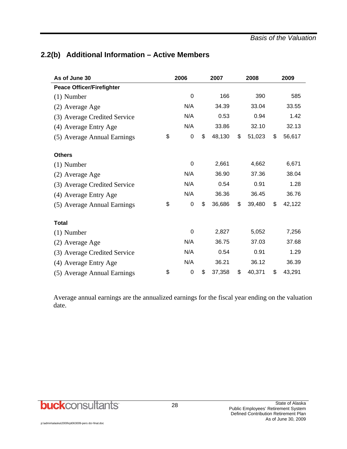## **2.2(b) Additional Information – Active Members**

| As of June 30                    | 2006              | 2007         | 2008         | 2009         |
|----------------------------------|-------------------|--------------|--------------|--------------|
| <b>Peace Officer/Firefighter</b> |                   |              |              |              |
| $(1)$ Number                     | 0                 | 166          | 390          | 585          |
| (2) Average Age                  | N/A               | 34.39        | 33.04        | 33.55        |
| (3) Average Credited Service     | N/A               | 0.53         | 0.94         | 1.42         |
| (4) Average Entry Age            | N/A               | 33.86        | 32.10        | 32.13        |
| (5) Average Annual Earnings      | \$<br>0           | \$<br>48,130 | \$<br>51,023 | \$<br>56,617 |
| <b>Others</b>                    |                   |              |              |              |
| $(1)$ Number                     | 0                 | 2,661        | 4,662        | 6,671        |
| (2) Average Age                  | N/A               | 36.90        | 37.36        | 38.04        |
| (3) Average Credited Service     | N/A               | 0.54         | 0.91         | 1.28         |
| (4) Average Entry Age            | N/A               | 36.36        | 36.45        | 36.76        |
| (5) Average Annual Earnings      | \$<br>$\mathbf 0$ | \$<br>36,686 | \$<br>39,480 | \$<br>42,122 |
| <b>Total</b>                     |                   |              |              |              |
| $(1)$ Number                     | 0                 | 2,827        | 5,052        | 7,256        |
| (2) Average Age                  | N/A               | 36.75        | 37.03        | 37.68        |
| (3) Average Credited Service     | N/A               | 0.54         | 0.91         | 1.29         |
| (4) Average Entry Age            | N/A               | 36.21        | 36.12        | 36.39        |
| (5) Average Annual Earnings      | \$<br>0           | \$<br>37,358 | \$<br>40,371 | \$<br>43,291 |

Average annual earnings are the annualized earnings for the fiscal year ending on the valuation date.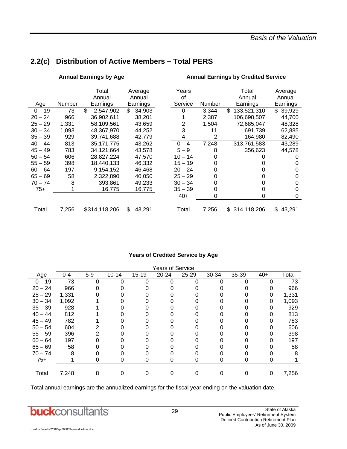*Basis of the Valuation* 

#### Annual Earnings by Age **Annual Earnings by Credited Service Annual Earnings by Credited Service**  Total Average Years Total Average Annual Annual of Annual Annual Age Number Earnings Earnings Service Number Earnings Earnings  $0 - 19$  73 \$ 2,547,902 \$ 34,903 0 3,344 \$ 133,521,310 \$ 39,929 20 – 24 966 36,902,611 38,201 1 2,387 106,698,507 44,700 25 – 29 1,331 58,109,561 43,659 2 1,504 72,685,047 48,328 30 – 34 1,093 48,367,970 44,252 3 11 691,739 62,885  $35 - 39$  929  $39,741,688$  42,779  $4$  2 164,980 82,490<br> $40 - 44$  813 35,171,775 43,262  $0 - 4$  7,248 313,761,583 43,289 40 – 44 813 35,171,775 43,262 0 – 4 7,248 313,761,583 43,289 45 – 49 783 34,121,664 43,578 5 – 9 8 356,623 44,578 50 – 54 606 28,827,224 47,570 10 – 14 0 0 0 55 – 59 398 18,440,133 46,332 15 – 19 0 0 0 60 – 64 197 9,154,152 46,468 20 – 24 0 0 0 65 – 69 58 2,322,890 40,050 25 – 29 0 0 0 70 – 74 8 393,861 49,233 30 – 34 0 0 0 75+ 1 16,775 16,775 35 – 39 0 0 0  $40+$  0 0 0 Total 7,256 \$ 314,118,206 \$ 43,291 Total 7,256 \$ 314,118,206 \$ 43,291

## **2.2(c) Distribution of Active Members – Total PERS**

#### **Years of Credited Service by Age**

|           | Years of Service |       |           |           |           |       |       |       |       |       |  |
|-----------|------------------|-------|-----------|-----------|-----------|-------|-------|-------|-------|-------|--|
| Age       | $0 - 4$          | $5-9$ | $10 - 14$ | $15 - 19$ | $20 - 24$ | 25-29 | 30-34 | 35-39 | $40+$ | Total |  |
| $0 - 19$  | 73               | 0     | 0         | 0         | 0         | 0     | O     |       | 0     | 73    |  |
| $20 - 24$ | 966              |       |           |           |           |       |       |       |       | 966   |  |
| $25 - 29$ | 1,331            |       |           |           |           |       |       |       | 0     | 1,331 |  |
| $30 - 34$ | 1,092            |       |           |           |           |       |       |       | 0     | 1,093 |  |
| $35 - 39$ | 928              |       |           |           |           |       |       |       |       | 929   |  |
| $40 - 44$ | 812              |       |           |           |           |       |       |       |       | 813   |  |
| $45 - 49$ | 782              |       |           |           |           |       |       |       |       | 783   |  |
| $50 - 54$ | 604              |       |           |           |           |       |       |       |       | 606   |  |
| $55 - 59$ | 396              |       |           |           |           |       |       |       |       | 398   |  |
| $60 - 64$ | 197              |       |           |           |           |       |       |       |       | 197   |  |
| $65 - 69$ | 58               |       |           |           |           |       |       |       |       | 58    |  |
| $70 - 74$ | 8                |       |           |           |           |       |       |       |       | 8     |  |
| $75+$     |                  | 0     | 0         | 0         | 0         | 0     | O     | 0     | 0     |       |  |
|           |                  |       |           |           |           |       |       |       |       |       |  |
| Total     | 7,248            | 8     |           |           |           |       |       |       | 0     | 7,256 |  |

Total annual earnings are the annualized earnings for the fiscal year ending on the valuation date.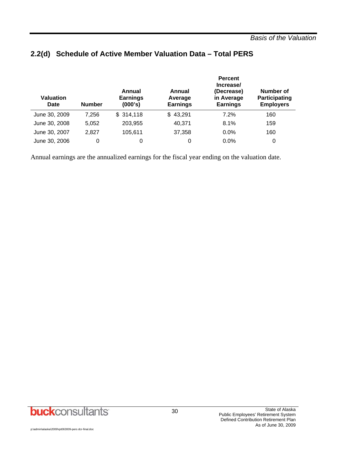| Valuation<br>Date | <b>Number</b> | Annual<br><b>Earnings</b><br>(000's) | Annual<br>Average<br><b>Earnings</b> | <b>Percent</b><br>Increase/<br>(Decrease)<br>in Average<br><b>Earnings</b> | Number of<br><b>Participating</b><br><b>Employers</b> |
|-------------------|---------------|--------------------------------------|--------------------------------------|----------------------------------------------------------------------------|-------------------------------------------------------|
| June 30, 2009     | 7,256         | \$314,118                            | \$43,291                             | $7.2\%$                                                                    | 160                                                   |
| June 30, 2008     | 5,052         | 203,955                              | 40,371                               | 8.1%                                                                       | 159                                                   |
| June 30, 2007     | 2.827         | 105,611                              | 37,358                               | $0.0\%$                                                                    | 160                                                   |
| June 30, 2006     | 0             | 0                                    | 0                                    | $0.0\%$                                                                    | 0                                                     |

## **2.2(d) Schedule of Active Member Valuation Data – Total PERS**

Annual earnings are the annualized earnings for the fiscal year ending on the valuation date.

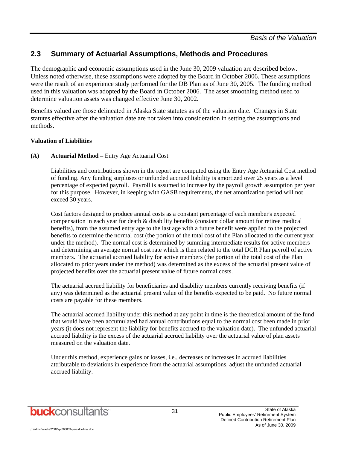The demographic and economic assumptions used in the June 30, 2009 valuation are described below. Unless noted otherwise, these assumptions were adopted by the Board in October 2006. These assumptions were the result of an experience study performed for the DB Plan as of June 30, 2005. The funding method used in this valuation was adopted by the Board in October 2006. The asset smoothing method used to determine valuation assets was changed effective June 30, 2002.

Benefits valued are those delineated in Alaska State statutes as of the valuation date. Changes in State statutes effective after the valuation date are not taken into consideration in setting the assumptions and methods.

#### **Valuation of Liabilities**

#### **(A) Actuarial Method** – Entry Age Actuarial Cost

Liabilities and contributions shown in the report are computed using the Entry Age Actuarial Cost method of funding. Any funding surpluses or unfunded accrued liability is amortized over 25 years as a level percentage of expected payroll. Payroll is assumed to increase by the payroll growth assumption per year for this purpose. However, in keeping with GASB requirements, the net amortization period will not exceed 30 years.

Cost factors designed to produce annual costs as a constant percentage of each member's expected compensation in each year for death & disability benefits (constant dollar amount for retiree medical benefits), from the assumed entry age to the last age with a future benefit were applied to the projected benefits to determine the normal cost (the portion of the total cost of the Plan allocated to the current year under the method). The normal cost is determined by summing intermediate results for active members and determining an average normal cost rate which is then related to the total DCR Plan payroll of active members. The actuarial accrued liability for active members (the portion of the total cost of the Plan allocated to prior years under the method) was determined as the excess of the actuarial present value of projected benefits over the actuarial present value of future normal costs.

The actuarial accrued liability for beneficiaries and disability members currently receiving benefits (if any) was determined as the actuarial present value of the benefits expected to be paid. No future normal costs are payable for these members.

The actuarial accrued liability under this method at any point in time is the theoretical amount of the fund that would have been accumulated had annual contributions equal to the normal cost been made in prior years (it does not represent the liability for benefits accrued to the valuation date). The unfunded actuarial accrued liability is the excess of the actuarial accrued liability over the actuarial value of plan assets measured on the valuation date.

Under this method, experience gains or losses, i.e., decreases or increases in accrued liabilities attributable to deviations in experience from the actuarial assumptions, adjust the unfunded actuarial accrued liability.

31

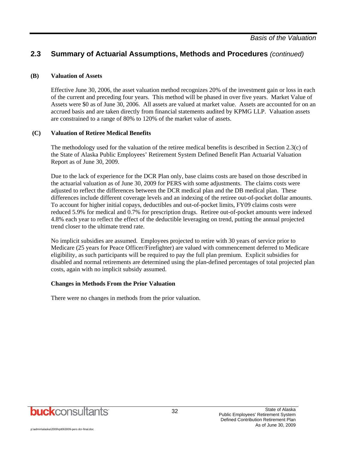#### **(B) Valuation of Assets**

Effective June 30, 2006, the asset valuation method recognizes 20% of the investment gain or loss in each of the current and preceding four years. This method will be phased in over five years. Market Value of Assets were \$0 as of June 30, 2006. All assets are valued at market value. Assets are accounted for on an accrued basis and are taken directly from financial statements audited by KPMG LLP. Valuation assets are constrained to a range of 80% to 120% of the market value of assets.

#### **(C) Valuation of Retiree Medical Benefits**

The methodology used for the valuation of the retiree medical benefits is described in Section 2.3(c) of the State of Alaska Public Employees' Retirement System Defined Benefit Plan Actuarial Valuation Report as of June 30, 2009.

Due to the lack of experience for the DCR Plan only, base claims costs are based on those described in the actuarial valuation as of June 30, 2009 for PERS with some adjustments. The claims costs were adjusted to reflect the differences between the DCR medical plan and the DB medical plan. These differences include different coverage levels and an indexing of the retiree out-of-pocket dollar amounts. To account for higher initial copays, deductibles and out-of-pocket limits, FY09 claims costs were reduced 5.9% for medical and 0.7% for prescription drugs. Retiree out-of-pocket amounts were indexed 4.8% each year to reflect the effect of the deductible leveraging on trend, putting the annual projected trend closer to the ultimate trend rate.

No implicit subsidies are assumed. Employees projected to retire with 30 years of service prior to Medicare (25 years for Peace Officer/Firefighter) are valued with commencement deferred to Medicare eligibility, as such participants will be required to pay the full plan premium. Explicit subsidies for disabled and normal retirements are determined using the plan-defined percentages of total projected plan costs, again with no implicit subsidy assumed.

#### **Changes in Methods From the Prior Valuation**

There were no changes in methods from the prior valuation.

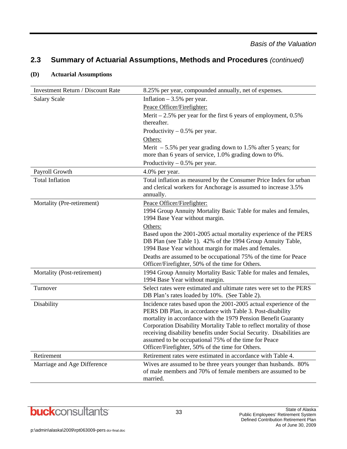| <b>Investment Return / Discount Rate</b> | 8.25% per year, compounded annually, net of expenses.                                                                                                                                                                                                                                                                                                                                                                                                         |
|------------------------------------------|---------------------------------------------------------------------------------------------------------------------------------------------------------------------------------------------------------------------------------------------------------------------------------------------------------------------------------------------------------------------------------------------------------------------------------------------------------------|
| <b>Salary Scale</b>                      | Inflation $-3.5%$ per year.                                                                                                                                                                                                                                                                                                                                                                                                                                   |
|                                          | Peace Officer/Firefighter:                                                                                                                                                                                                                                                                                                                                                                                                                                    |
|                                          | Merit $-2.5\%$ per year for the first 6 years of employment, 0.5%                                                                                                                                                                                                                                                                                                                                                                                             |
|                                          | thereafter.                                                                                                                                                                                                                                                                                                                                                                                                                                                   |
|                                          | Productivity $-0.5%$ per year.                                                                                                                                                                                                                                                                                                                                                                                                                                |
|                                          | Others:                                                                                                                                                                                                                                                                                                                                                                                                                                                       |
|                                          | Merit $-5.5\%$ per year grading down to 1.5% after 5 years; for<br>more than 6 years of service, 1.0% grading down to 0%.                                                                                                                                                                                                                                                                                                                                     |
|                                          | Productivity $-0.5%$ per year.                                                                                                                                                                                                                                                                                                                                                                                                                                |
| Payroll Growth                           | 4.0% per year.                                                                                                                                                                                                                                                                                                                                                                                                                                                |
| <b>Total Inflation</b>                   | Total inflation as measured by the Consumer Price Index for urban<br>and clerical workers for Anchorage is assumed to increase 3.5%<br>annually.                                                                                                                                                                                                                                                                                                              |
| Mortality (Pre-retirement)               | Peace Officer/Firefighter:                                                                                                                                                                                                                                                                                                                                                                                                                                    |
|                                          | 1994 Group Annuity Mortality Basic Table for males and females,<br>1994 Base Year without margin.                                                                                                                                                                                                                                                                                                                                                             |
|                                          | Others:                                                                                                                                                                                                                                                                                                                                                                                                                                                       |
|                                          | Based upon the 2001-2005 actual mortality experience of the PERS<br>DB Plan (see Table 1). 42% of the 1994 Group Annuity Table,<br>1994 Base Year without margin for males and females.                                                                                                                                                                                                                                                                       |
|                                          | Deaths are assumed to be occupational 75% of the time for Peace<br>Officer/Firefighter, 50% of the time for Others.                                                                                                                                                                                                                                                                                                                                           |
| Mortality (Post-retirement)              | 1994 Group Annuity Mortality Basic Table for males and females,<br>1994 Base Year without margin.                                                                                                                                                                                                                                                                                                                                                             |
| Turnover                                 | Select rates were estimated and ultimate rates were set to the PERS<br>DB Plan's rates loaded by 10%. (See Table 2).                                                                                                                                                                                                                                                                                                                                          |
| Disability                               | Incidence rates based upon the 2001-2005 actual experience of the<br>PERS DB Plan, in accordance with Table 3. Post-disability<br>mortality in accordance with the 1979 Pension Benefit Guaranty<br>Corporation Disability Mortality Table to reflect mortality of those<br>receiving disability benefits under Social Security. Disabilities are<br>assumed to be occupational 75% of the time for Peace<br>Officer/Firefighter, 50% of the time for Others. |
| Retirement                               | Retirement rates were estimated in accordance with Table 4.                                                                                                                                                                                                                                                                                                                                                                                                   |
| Marriage and Age Difference              | Wives are assumed to be three years younger than husbands. 80%<br>of male members and 70% of female members are assumed to be<br>married.                                                                                                                                                                                                                                                                                                                     |

#### **(D) Actuarial Assumptions**

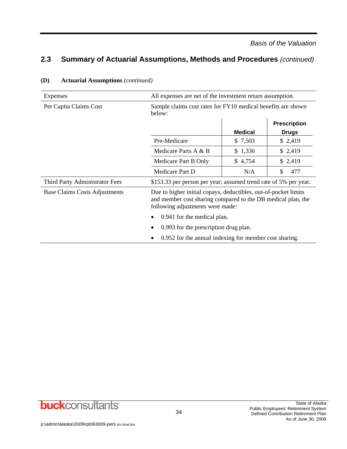| Expenses                             | All expenses are net of the investment return assumption.                                                                                                           |                |                     |
|--------------------------------------|---------------------------------------------------------------------------------------------------------------------------------------------------------------------|----------------|---------------------|
| Per Capita Claims Cost               | Sample claims cost rates for FY10 medical benefits are shown<br>below:                                                                                              |                |                     |
|                                      |                                                                                                                                                                     |                | <b>Prescription</b> |
|                                      |                                                                                                                                                                     | <b>Medical</b> | <b>Drugs</b>        |
|                                      | Pre-Medicare                                                                                                                                                        | \$ 7,503       | \$2,419             |
|                                      | Medicare Parts A & B                                                                                                                                                | \$1,336        | \$2,419             |
|                                      | Medicare Part B Only                                                                                                                                                | \$4,754        | \$2,419             |
|                                      | Medicare Part D                                                                                                                                                     | N/A            | 477<br>\$           |
| Third Party Administrator Fees       | \$153.33 per person per year; assumed trend rate of 5% per year.                                                                                                    |                |                     |
| <b>Base Claims Costs Adjustments</b> | Due to higher initial copays, deductibles, out-of-pocket limits<br>and member cost sharing compared to the DB medical plan, the<br>following adjustments were made: |                |                     |
|                                      | 0.941 for the medical plan.                                                                                                                                         |                |                     |
|                                      | 0.993 for the prescription drug plan.                                                                                                                               |                |                     |
|                                      | 0.952 for the annual indexing for member cost sharing.                                                                                                              |                |                     |

#### **(D) Actuarial Assumptions** *(continued)*

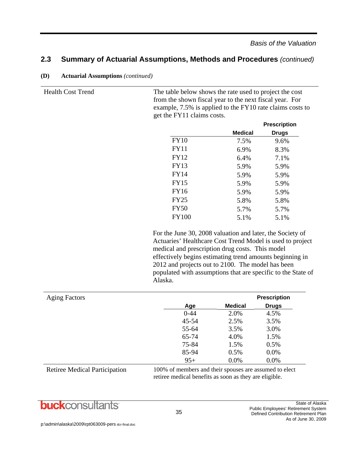| <b>Health Cost Trend</b> |              | The table below shows the rate used to project the cost<br>from the shown fiscal year to the next fiscal year. For<br>example, 7.5% is applied to the FY10 rate claims costs to<br>get the FY11 claims costs. |                     |  |
|--------------------------|--------------|---------------------------------------------------------------------------------------------------------------------------------------------------------------------------------------------------------------|---------------------|--|
|                          |              |                                                                                                                                                                                                               | <b>Prescription</b> |  |
|                          |              | <b>Medical</b>                                                                                                                                                                                                | <b>Drugs</b>        |  |
|                          | <b>FY10</b>  | 7.5%                                                                                                                                                                                                          | 9.6%                |  |
|                          | <b>FY11</b>  | 6.9%                                                                                                                                                                                                          | 8.3%                |  |
|                          | FY12         | 6.4%                                                                                                                                                                                                          | 7.1%                |  |
|                          | <b>FY13</b>  | 5.9%                                                                                                                                                                                                          | 5.9%                |  |
|                          | <b>FY14</b>  | 5.9%                                                                                                                                                                                                          | 5.9%                |  |
|                          | <b>FY15</b>  | 5.9%                                                                                                                                                                                                          | 5.9%                |  |
|                          | <b>FY16</b>  | 5.9%                                                                                                                                                                                                          | 5.9%                |  |
|                          | <b>FY25</b>  | 5.8%                                                                                                                                                                                                          | 5.8%                |  |
|                          | <b>FY50</b>  | 5.7%                                                                                                                                                                                                          | 5.7%                |  |
|                          | <b>FY100</b> | 5.1%                                                                                                                                                                                                          | 5.1%                |  |
|                          |              |                                                                                                                                                                                                               |                     |  |

**(D) Actuarial Assumptions** *(continued)*

 For the June 30, 2008 valuation and later, the Society of Actuaries' Healthcare Cost Trend Model is used to project medical and prescription drug costs. This model effectively begins estimating trend amounts beginning in 2012 and projects out to 2100. The model has been populated with assumptions that are specific to the State of Alaska.

| <b>Aging Factors</b> |           |                | <b>Prescription</b> |
|----------------------|-----------|----------------|---------------------|
|                      | Age       | <b>Medical</b> | <b>Drugs</b>        |
|                      | $0 - 44$  | 2.0%           | 4.5%                |
|                      | $45 - 54$ | 2.5%           | 3.5%                |
|                      | 55-64     | 3.5%           | 3.0%                |
|                      | 65-74     | 4.0%           | 1.5%                |
|                      | 75-84     | 1.5%           | 0.5%                |
|                      | 85-94     | 0.5%           | 0.0%                |
|                      | $95+$     | $0.0\%$        | 0.0%                |

Retiree Medical Participation 100% of members and their spouses are assumed to elect retiree medical benefits as soon as they are eligible.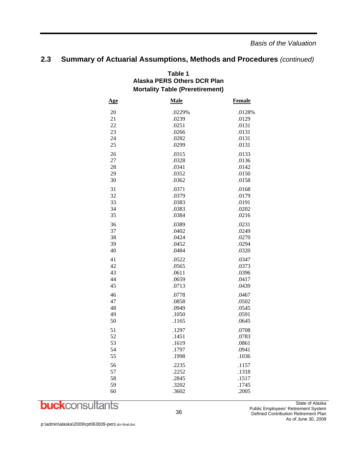#### **Table 1 Alaska PERS Others DCR Plan Mortality Table (Preretirement)**

| <u>Age</u> | <b>Male</b> | <b>Female</b> |
|------------|-------------|---------------|
| 20         | .0229%      | .0128%        |
| 21         | .0239       | .0129         |
| 22         | .0251       | .0131         |
| 23         | .0266       | .0131         |
| 24         | .0282       | .0131         |
| 25         | .0299       | .0131         |
| 26         | .0315       | .0133         |
| 27         | .0328       | .0136         |
| 28         | .0341       | .0142         |
| 29         | .0352       | .0150         |
| 30         | .0362       | .0158         |
| 31         | .0371       | .0168         |
| 32         | .0379       | .0179         |
| 33         | .0383       | .0191         |
| 34         | .0383       | .0202         |
| 35         | .0384       | .0216         |
| 36         | .0389       | .0231         |
| 37         | .0402       | .0249         |
| 38         | .0424       | .0270         |
| 39         | .0452       | .0294         |
| 40         | .0484       | .0320         |
| 41         | .0522       | .0347         |
| 42         | .0565       | .0373         |
| 43         | .0611       | .0396         |
| 44         | .0659       | .0417         |
| 45         | .0713       | .0439         |
| 46         | .0778       | .0467         |
| 47         | .0858       | .0502         |
| 48         | .0949       | .0545         |
| 49         | .1050       | .0591         |
| 50         | .1165       | .0645         |
| 51         | .1297       | .0708         |
| 52         | .1451       | .0783         |
| 53         | .1619       | .0861         |
| 54         | .1797       | .0941         |
| 55         | .1998       | .1036         |
| 56         | .2235       | .1157         |
| 57         | .2252       | .1318         |
| 58         | .2845       | .1517         |
| 59         | .3202       | .1745         |
| 60         | .3602       | .2005         |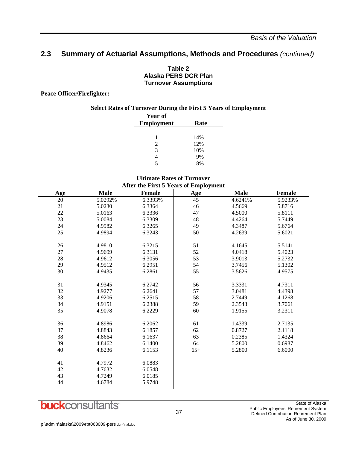#### **Table 2 Alaska PERS DCR Plan Turnover Assumptions**

**Peace Officer/Firefighter:** 

| <b>Select Rates of Turnover During the First 5 Years of Employment</b> |                   |      |  |
|------------------------------------------------------------------------|-------------------|------|--|
|                                                                        | Year of           |      |  |
|                                                                        | <b>Employment</b> | Rate |  |
|                                                                        |                   |      |  |
|                                                                        |                   | 14%  |  |
|                                                                        | 2                 | 12%  |  |
|                                                                        | 3                 | 10%  |  |
|                                                                        | 4                 | 9%   |  |
|                                                                        | 5                 | 8%   |  |

#### **Ultimate Rates of Turnover**   $\Lambda$  fter the First 5  $\mathbf V$ ears of Employ

| After the First 5 Years of Employment |             |               |       |             |               |
|---------------------------------------|-------------|---------------|-------|-------------|---------------|
| Age                                   | <b>Male</b> | <b>Female</b> | Age   | <b>Male</b> | <b>Female</b> |
| 20                                    | 5.0292%     | 6.3393%       | 45    | 4.6241%     | 5.9233%       |
| 21                                    | 5.0230      | 6.3364        | 46    | 4.5669      | 5.8716        |
| $22\,$                                | 5.0163      | 6.3336        | 47    | 4.5000      | 5.8111        |
| 23                                    | 5.0084      | 6.3309        | 48    | 4.4264      | 5.7449        |
| 24                                    | 4.9982      | 6.3265        | 49    | 4.3487      | 5.6764        |
| 25                                    | 4.9894      | 6.3243        | 50    | 4.2639      | 5.6021        |
| 26                                    | 4.9810      | 6.3215        | 51    | 4.1645      | 5.5141        |
| 27                                    | 4.9699      | 6.3131        | 52    | 4.0418      | 5.4023        |
| 28                                    | 4.9612      | 6.3056        | 53    | 3.9013      | 5.2732        |
| 29                                    | 4.9512      | 6.2951        | 54    | 3.7456      | 5.1302        |
| 30                                    | 4.9435      | 6.2861        | 55    | 3.5626      | 4.9575        |
| 31                                    | 4.9345      | 6.2742        | 56    | 3.3331      | 4.7311        |
| 32                                    | 4.9277      | 6.2641        | 57    | 3.0481      | 4.4398        |
| 33                                    | 4.9206      | 6.2515        | 58    | 2.7449      | 4.1268        |
| 34                                    | 4.9151      | 6.2388        | 59    | 2.3543      | 3.7061        |
| 35                                    | 4.9078      | 6.2229        | 60    | 1.9155      | 3.2311        |
| 36                                    | 4.8986      | 6.2062        | 61    | 1.4339      | 2.7135        |
| 37                                    | 4.8843      | 6.1857        | 62    | 0.8727      | 2.1118        |
| 38                                    | 4.8664      | 6.1637        | 63    | 0.2385      | 1.4324        |
| 39                                    | 4.8462      | 6.1400        | 64    | 5.2800      | 0.6987        |
| 40                                    | 4.8236      | 6.1153        | $65+$ | 5.2800      | 6.6000        |
| 41                                    | 4.7972      | 6.0883        |       |             |               |
| 42                                    | 4.7632      | 6.0548        |       |             |               |
| 43                                    | 4.7249      | 6.0185        |       |             |               |
| 44                                    | 4.6784      | 5.9748        |       |             |               |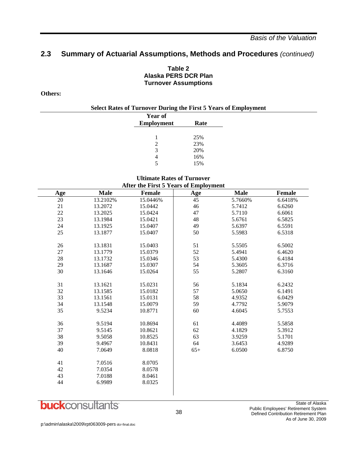#### **Table 2 Alaska PERS DCR Plan Turnover Assumptions**

#### **Others:**

| <b>Select Rates of Turnover During the First 5 Years of Employment</b> |                   |      |  |
|------------------------------------------------------------------------|-------------------|------|--|
|                                                                        | <b>Year of</b>    |      |  |
|                                                                        | <b>Employment</b> | Rate |  |
|                                                                        |                   |      |  |
|                                                                        |                   | 25%  |  |
|                                                                        | 2                 | 23%  |  |
|                                                                        | 3                 | 20%  |  |
|                                                                        | 4                 | 16%  |  |
|                                                                        |                   | 15%  |  |

#### **Ultimate Rates of Turnover After the First 5 Years of Employment**

| <b>Age</b> | <b>Male</b> | <b>Female</b> | <b>Age</b> | <b>Male</b> | Female  |
|------------|-------------|---------------|------------|-------------|---------|
| $20\,$     | 13.2102%    | 15.0446%      | 45         | 5.7660%     | 6.6418% |
| 21         | 13.2072     | 15.0442       | 46         | 5.7412      | 6.6260  |
| $22\,$     | 13.2025     | 15.0424       | 47         | 5.7110      | 6.6061  |
| 23         | 13.1984     | 15.0421       | 48         | 5.6761      | 6.5825  |
| 24         | 13.1925     | 15.0407       | 49         | 5.6397      | 6.5591  |
| 25         | 13.1877     | 15.0407       | 50         | 5.5983      | 6.5318  |
| 26         | 13.1831     | 15.0403       | 51         | 5.5505      | 6.5002  |
| 27         | 13.1779     | 15.0379       | 52         | 5.4941      | 6.4620  |
| $28\,$     | 13.1732     | 15.0346       | 53         | 5.4300      | 6.4184  |
| 29         | 13.1687     | 15.0307       | 54         | 5.3605      | 6.3716  |
| 30         | 13.1646     | 15.0264       | 55         | 5.2807      | 6.3160  |
| 31         | 13.1621     | 15.0231       | 56         | 5.1834      | 6.2432  |
| 32         | 13.1585     | 15.0182       | 57         | 5.0650      | 6.1491  |
| 33         | 13.1561     | 15.0131       | 58         | 4.9352      | 6.0429  |
| 34         | 13.1548     | 15.0079       | 59         | 4.7792      | 5.9079  |
| 35         | 9.5234      | 10.8771       | 60         | 4.6045      | 5.7553  |
| 36         | 9.5194      | 10.8694       | 61         | 4.4089      | 5.5858  |
| 37         | 9.5145      | 10.8621       | $62\,$     | 4.1829      | 5.3912  |
| 38         | 9.5058      | 10.8525       | 63         | 3.9259      | 5.1701  |
| 39         | 9.4967      | 10.8431       | 64         | 3.6453      | 4.9289  |
| 40         | 7.0649      | 8.0818        | $65+$      | 6.0500      | 6.8750  |
| 41         | 7.0516      | 8.0705        |            |             |         |
| 42         | 7.0354      | 8.0578        |            |             |         |
| 43         | 7.0188      | 8.0461        |            |             |         |
| 44         | 6.9989      | 8.0325        |            |             |         |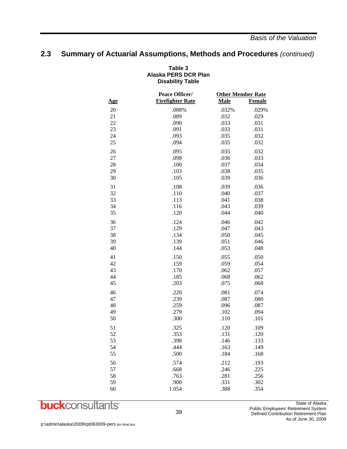#### **Table 3 Alaska PERS DCR Plan Disability Table**

|            | Peace Officer/          | <b>Other Member Rate</b> |               |
|------------|-------------------------|--------------------------|---------------|
| <u>Age</u> | <b>Firefighter Rate</b> | <b>Male</b>              | <b>Female</b> |
| 20         | .088%                   | .032%                    | .029%         |
| 21         | .089                    | .032                     | .029          |
| 22         | .090                    | .033                     | .031          |
| 23         | .091                    | .033                     | .031          |
| 24         | .093                    | .035                     | .032          |
| 25         | .094                    | .035                     | .032          |
| 26         | .095                    | .035                     | .032          |
| 27         | .098                    | .036                     | .033          |
| 28         | .100                    | .037                     | .034          |
| 29         | .103                    | .038                     | .035          |
| 30         | .105                    | .039                     | .036          |
| 31         | .108                    | .039                     | .036          |
| 32         | .110                    | .040                     | .037          |
| 33         | .113                    | .041                     | .038          |
| 34         | .116                    | .043                     | .039          |
| 35         | .120                    | .044                     | .040          |
| 36         | .124                    | .046                     | .042          |
| 37         | .129                    | .047                     | .043          |
| 38         | .134                    | .050                     | .045          |
| 39         | .139                    | .051                     | .046          |
| 40         | .144                    | .053                     | .048          |
| 41         | .150                    | .055                     | .050          |
| 42         | .159                    | .059                     | .054          |
| 43         | .170                    | .062                     | .057          |
| 44         | .185                    | .068                     | .062          |
| 45         | .203                    | .075                     | .068          |
| 46         | .220                    | .081                     | .074          |
| 47         | .239                    | .087                     | .080          |
| 48         | .259                    | .096                     | .087          |
| 49         | .279                    | .102                     | .094          |
| 50         | .300                    | .110                     | .101          |
| 51         | .325                    | .120                     | .109          |
| 52         | .353                    | .131                     | .120          |
| 53         | .398                    | .146                     | .133          |
| 54         | .444                    | .163                     | .149          |
| 55         | .500                    | .184                     | .168          |
| 56         | .574                    | .212                     | .193          |
| 57         | .668                    | .246                     | .225          |
| 58         | .763                    | .281                     | .256          |
| 59         | .900                    | .331                     | .302          |
| 60         | 1.054                   | .388                     | .354          |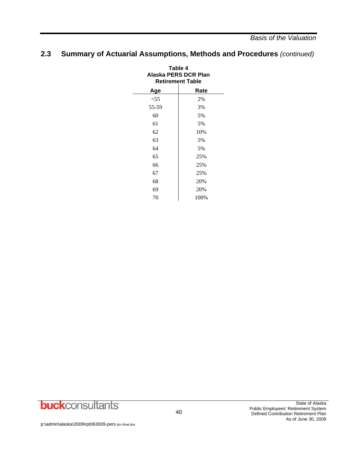| Table 4<br>Alaska PERS DCR Plan<br><b>Retirement Table</b> |      |  |  |
|------------------------------------------------------------|------|--|--|
| Age                                                        | Rate |  |  |
| $<$ 55                                                     | 2%   |  |  |
| 55-59                                                      | 3%   |  |  |
| 60                                                         | 5%   |  |  |
| 61                                                         | 5%   |  |  |
| 62                                                         | 10%  |  |  |
| 63                                                         | 5%   |  |  |
| 64                                                         | 5%   |  |  |
| 65                                                         | 25%  |  |  |
| 66                                                         | 25%  |  |  |
| 67                                                         | 25%  |  |  |
| 68                                                         | 20%  |  |  |
| 69                                                         | 20%  |  |  |
| 70                                                         | 100% |  |  |

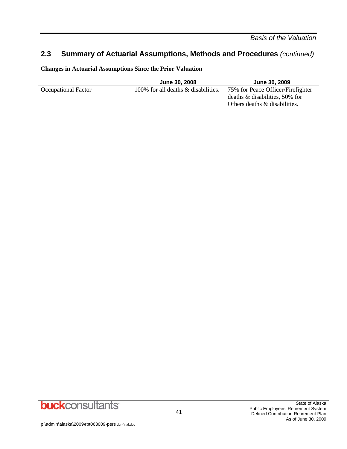*Basis of the Valuation* 

## **2.3 Summary of Actuarial Assumptions, Methods and Procedures** *(continued)*

**Changes in Actuarial Assumptions Since the Prior Valuation** 

|                     | <b>June 30, 2008</b>                | <b>June 30, 2009</b>                                                   |
|---------------------|-------------------------------------|------------------------------------------------------------------------|
| Occupational Factor | 100% for all deaths & disabilities. | 75% for Peace Officer/Firefighter<br>deaths $\&$ disabilities, 50% for |
|                     |                                     | Others deaths & disabilities.                                          |

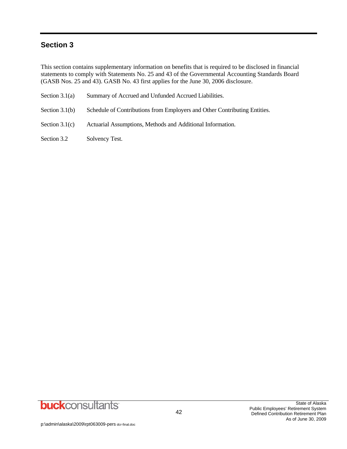## **Section 3**

This section contains supplementary information on benefits that is required to be disclosed in financial statements to comply with Statements No. 25 and 43 of the Governmental Accounting Standards Board (GASB Nos. 25 and 43). GASB No. 43 first applies for the June 30, 2006 disclosure.

| Section $3.1(a)$ | Summary of Accrued and Unfunded Accrued Liabilities.                      |
|------------------|---------------------------------------------------------------------------|
| Section $3.1(b)$ | Schedule of Contributions from Employers and Other Contributing Entities. |
| Section $3.1(c)$ | Actuarial Assumptions, Methods and Additional Information.                |

Section 3.2 Solvency Test.

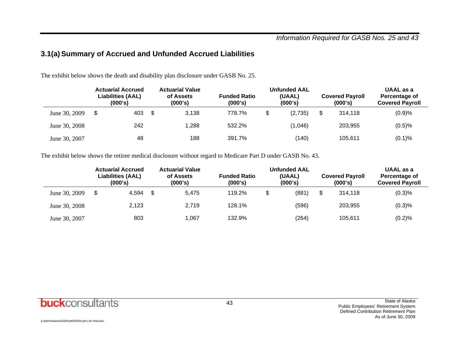## **3.1(a) Summary of Accrued and Unfunded Accrued Liabilities**

The exhibit below shows the death and disability plan disclosure under GASB No. 25.

|               |   | <b>Actuarial Accrued</b><br>Liabilities (AAL)<br>(000's) | <b>Actuarial Value</b><br>of Assets<br>(000's) | <b>Funded Ratio</b><br>(000's) | <b>Unfunded AAL</b><br>(UAAL)<br>(000's) | <b>Covered Payroll</b><br>(000's) | UAAL as a<br>Percentage of<br><b>Covered Payroll</b> |
|---------------|---|----------------------------------------------------------|------------------------------------------------|--------------------------------|------------------------------------------|-----------------------------------|------------------------------------------------------|
| June 30, 2009 | S | 403                                                      | \$<br>3.138                                    | 778.7%                         | (2,735)                                  | \$<br>314.118                     | (0.9)%                                               |
| June 30, 2008 |   | 242                                                      | 1,288                                          | 532.2%                         | (1,046)                                  | 203.955                           | (0.5)%                                               |
| June 30, 2007 |   | 48                                                       | 188                                            | 391.7%                         | (140)                                    | 105.611                           | (0.1)%                                               |

The exhibit below shows the retiree medical disclosure without regard to Medicare Part D under GASB No. 43.

|               | <b>Actuarial Accrued</b><br>Liabilities (AAL)<br>(000's) | <b>Actuarial Value</b><br>of Assets<br>(000's) | <b>Funded Ratio</b><br>(000's) | <b>Unfunded AAL</b><br>(UAAL)<br>(000's) | <b>Covered Payroll</b><br>(000's) | UAAL as a<br>Percentage of<br><b>Covered Payroll</b> |
|---------------|----------------------------------------------------------|------------------------------------------------|--------------------------------|------------------------------------------|-----------------------------------|------------------------------------------------------|
| June 30, 2009 | \$<br>4.594                                              | 5.475                                          | 119.2%                         | \$<br>(881)                              | \$<br>314.118                     | (0.3)%                                               |
| June 30, 2008 | 2.123                                                    | 2.719                                          | 128.1%                         | (596)                                    | 203.955                           | (0.3)%                                               |
| June 30, 2007 | 803                                                      | 1,067                                          | 132.9%                         | (264)                                    | 105,611                           | (0.2)%                                               |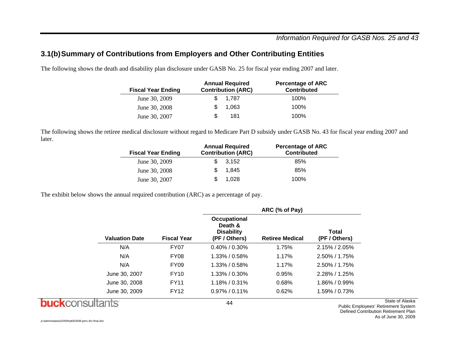### *Information Required for GASB Nos. 25 and 43*

### **3.1(b) Summary of Contributions from Employers and Other Contributing Entities**

The following shows the death and disability plan disclosure under GASB No. 25 for fiscal year ending 2007 and later.

| <b>Fiscal Year Ending</b> | <b>Annual Required</b><br><b>Contribution (ARC)</b> | <b>Percentage of ARC</b><br><b>Contributed</b> |  |
|---------------------------|-----------------------------------------------------|------------------------------------------------|--|
| June 30, 2009             | \$ 1.787                                            | 100%                                           |  |
| June 30, 2008             | 1.063                                               | 100%                                           |  |
| June 30, 2007             | 181                                                 | 100%                                           |  |

The following shows the retiree medical disclosure without regard to Medicare Part D subsidy under GASB No. 43 for fiscal year ending 2007 and later.

| <b>Fiscal Year Ending</b> | <b>Annual Required</b><br><b>Contribution (ARC)</b> | <b>Percentage of ARC</b><br><b>Contributed</b> |
|---------------------------|-----------------------------------------------------|------------------------------------------------|
| June 30, 2009             | 3.152                                               | 85%                                            |
| June 30, 2008             | 1.845                                               | 85%                                            |
| June 30, 2007             | 1.028                                               | 100%                                           |

The exhibit below shows the annual required contribution (ARC) as a percentage of pay.

|                       |                    |                                                               | ARC (% of Pay)         |                        |
|-----------------------|--------------------|---------------------------------------------------------------|------------------------|------------------------|
| <b>Valuation Date</b> | <b>Fiscal Year</b> | Occupational<br>Death &<br><b>Disability</b><br>(PF / Others) | <b>Retiree Medical</b> | Total<br>(PF / Others) |
| N/A                   | FY07               | $0.40\%$ / 0.30%                                              | 1.75%                  | $2.15\%$ / $2.05\%$    |
| N/A                   | <b>FY08</b>        | $1.33\%$ / 0.58%                                              | 1.17%                  | $2.50\%$ / 1.75%       |
| N/A                   | <b>FY09</b>        | $1.33\%$ / 0.58%                                              | 1.17%                  | $2.50\%$ / 1.75%       |
| June 30, 2007         | <b>FY10</b>        | $1.33\%$ / 0.30%                                              | 0.95%                  | $2.28\%$ / 1.25%       |
| June 30, 2008         | <b>FY11</b>        | $1.18\%$ / 0.31%                                              | 0.68%                  | $1.86\% / 0.99\%$      |
| June 30, 2009         | <b>FY12</b>        | $0.97\%$ / 0.11%                                              | 0.62%                  | $1.59\%$ / 0.73%       |
|                       |                    | 44                                                            |                        |                        |

**buck**consultants

State of Alaska Public Employees' Retirement System Defined Contribution Retirement Plan

As of June 30, 2009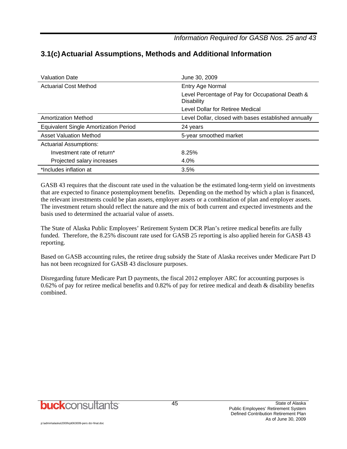*Information Required for GASB Nos. 25 and 43* 

| <b>Valuation Date</b>                        | June 30, 2009                                                         |
|----------------------------------------------|-----------------------------------------------------------------------|
| <b>Actuarial Cost Method</b>                 | Entry Age Normal                                                      |
|                                              | Level Percentage of Pay for Occupational Death &<br><b>Disability</b> |
|                                              | Level Dollar for Retiree Medical                                      |
| Amortization Method                          | Level Dollar, closed with bases established annually                  |
| <b>Equivalent Single Amortization Period</b> | 24 years                                                              |
| <b>Asset Valuation Method</b>                | 5-year smoothed market                                                |
| <b>Actuarial Assumptions:</b>                |                                                                       |
| Investment rate of return*                   | 8.25%                                                                 |
| Projected salary increases                   | 4.0%                                                                  |
| *Includes inflation at                       | 3.5%                                                                  |

## **3.1(c) Actuarial Assumptions, Methods and Additional Information**

GASB 43 requires that the discount rate used in the valuation be the estimated long-term yield on investments that are expected to finance postemployment benefits. Depending on the method by which a plan is financed, the relevant investments could be plan assets, employer assets or a combination of plan and employer assets. The investment return should reflect the nature and the mix of both current and expected investments and the basis used to determined the actuarial value of assets.

The State of Alaska Public Employees' Retirement System DCR Plan's retiree medical benefits are fully funded. Therefore, the 8.25% discount rate used for GASB 25 reporting is also applied herein for GASB 43 reporting.

Based on GASB accounting rules, the retiree drug subsidy the State of Alaska receives under Medicare Part D has not been recognized for GASB 43 disclosure purposes.

Disregarding future Medicare Part D payments, the fiscal 2012 employer ARC for accounting purposes is 0.62% of pay for retiree medical benefits and 0.82% of pay for retiree medical and death & disability benefits combined.